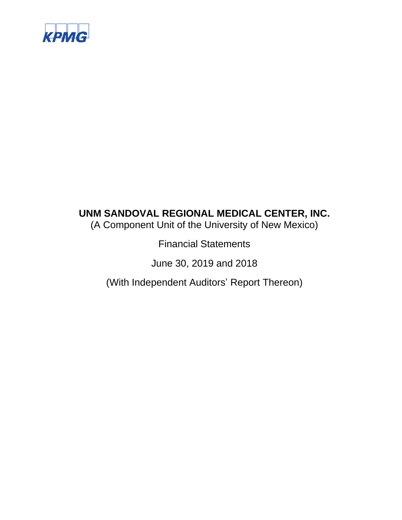

(A Component Unit of the University of New Mexico)

Financial Statements

June 30, 2019 and 2018

(With Independent Auditors' Report Thereon)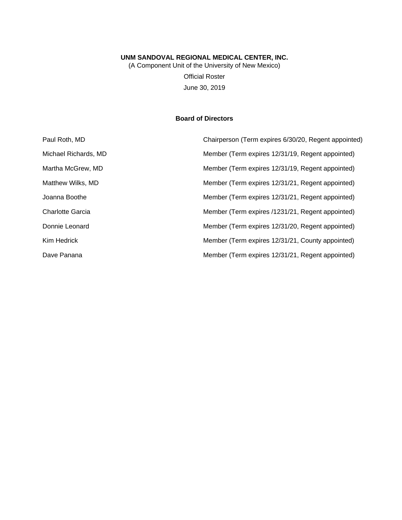(A Component Unit of the University of New Mexico) Official Roster June 30, 2019

# **Board of Directors**

| Paul Roth, MD           | Chairperson (Term expires 6/30/20, Regent appointed) |
|-------------------------|------------------------------------------------------|
| Michael Richards, MD    | Member (Term expires 12/31/19, Regent appointed)     |
| Martha McGrew, MD       | Member (Term expires 12/31/19, Regent appointed)     |
| Matthew Wilks, MD       | Member (Term expires 12/31/21, Regent appointed)     |
| Joanna Boothe           | Member (Term expires 12/31/21, Regent appointed)     |
| <b>Charlotte Garcia</b> | Member (Term expires /1231/21, Regent appointed)     |
| Donnie Leonard          | Member (Term expires 12/31/20, Regent appointed)     |
| Kim Hedrick             | Member (Term expires 12/31/21, County appointed)     |
| Dave Panana             | Member (Term expires 12/31/21, Regent appointed)     |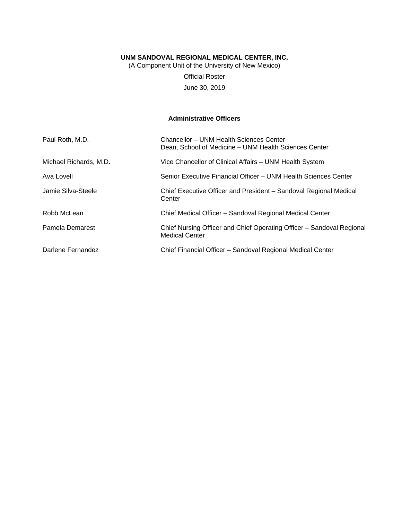(A Component Unit of the University of New Mexico)

Official Roster

June 30, 2019

# **Administrative Officers**

| Paul Roth, M.D.        | Chancellor – UNM Health Sciences Center<br>Dean, School of Medicine – UNM Health Sciences Center |
|------------------------|--------------------------------------------------------------------------------------------------|
| Michael Richards, M.D. | Vice Chancellor of Clinical Affairs - UNM Health System                                          |
| Ava Lovell             | Senior Executive Financial Officer – UNM Health Sciences Center                                  |
| Jamie Silva-Steele     | Chief Executive Officer and President - Sandoval Regional Medical<br>Center                      |
| Robb McLean            | Chief Medical Officer - Sandoval Regional Medical Center                                         |
| Pamela Demarest        | Chief Nursing Officer and Chief Operating Officer – Sandoval Regional<br><b>Medical Center</b>   |
| Darlene Fernandez      | Chief Financial Officer - Sandoval Regional Medical Center                                       |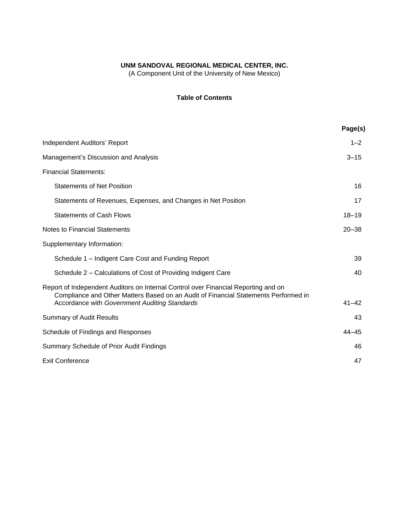(A Component Unit of the University of New Mexico)

# **Table of Contents**

|                                                                                                                                                                           | Page(s)   |
|---------------------------------------------------------------------------------------------------------------------------------------------------------------------------|-----------|
| Independent Auditors' Report                                                                                                                                              | $1 - 2$   |
| Management's Discussion and Analysis                                                                                                                                      | $3 - 15$  |
| <b>Financial Statements:</b>                                                                                                                                              |           |
| <b>Statements of Net Position</b>                                                                                                                                         | 16        |
| Statements of Revenues, Expenses, and Changes in Net Position                                                                                                             | 17        |
| <b>Statements of Cash Flows</b>                                                                                                                                           | $18 - 19$ |
| <b>Notes to Financial Statements</b>                                                                                                                                      | $20 - 38$ |
| Supplementary Information:                                                                                                                                                |           |
| Schedule 1 - Indigent Care Cost and Funding Report                                                                                                                        | 39        |
| Schedule 2 - Calculations of Cost of Providing Indigent Care                                                                                                              | 40        |
| Report of Independent Auditors on Internal Control over Financial Reporting and on<br>Compliance and Other Matters Based on an Audit of Financial Statements Performed in |           |
| Accordance with Government Auditing Standards                                                                                                                             | $41 - 42$ |
| <b>Summary of Audit Results</b>                                                                                                                                           | 43        |
| Schedule of Findings and Responses                                                                                                                                        | $44 - 45$ |
| <b>Summary Schedule of Prior Audit Findings</b>                                                                                                                           | 46        |
| Exit Conference                                                                                                                                                           | 47        |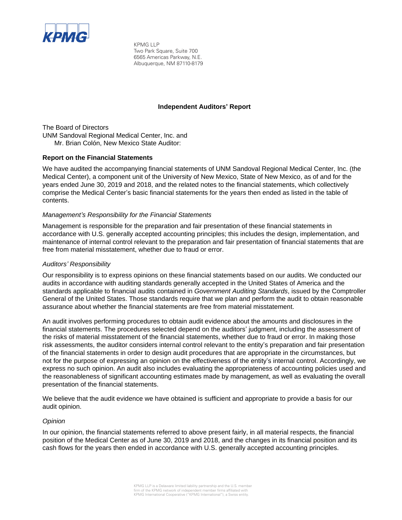

KPMG LLP Two Park Square, Suite 700 6565 Americas Parkway, N.E. Albuquerque, NM 87110-8179

#### **Independent Auditors' Report**

The Board of Directors UNM Sandoval Regional Medical Center, Inc. and Mr. Brian Colón, New Mexico State Auditor:

#### **Report on the Financial Statements**

We have audited the accompanying financial statements of UNM Sandoval Regional Medical Center, Inc. (the Medical Center), a component unit of the University of New Mexico, State of New Mexico, as of and for the years ended June 30, 2019 and 2018, and the related notes to the financial statements, which collectively comprise the Medical Center's basic financial statements for the years then ended as listed in the table of contents.

#### *Management's Responsibility for the Financial Statements*

Management is responsible for the preparation and fair presentation of these financial statements in accordance with U.S. generally accepted accounting principles; this includes the design, implementation, and maintenance of internal control relevant to the preparation and fair presentation of financial statements that are free from material misstatement, whether due to fraud or error.

#### *Auditors' Responsibility*

Our responsibility is to express opinions on these financial statements based on our audits. We conducted our audits in accordance with auditing standards generally accepted in the United States of America and the standards applicable to financial audits contained in *Government Auditing Standards*, issued by the Comptroller General of the United States. Those standards require that we plan and perform the audit to obtain reasonable assurance about whether the financial statements are free from material misstatement.

An audit involves performing procedures to obtain audit evidence about the amounts and disclosures in the financial statements. The procedures selected depend on the auditors' judgment, including the assessment of the risks of material misstatement of the financial statements, whether due to fraud or error. In making those risk assessments, the auditor considers internal control relevant to the entity's preparation and fair presentation of the financial statements in order to design audit procedures that are appropriate in the circumstances, but not for the purpose of expressing an opinion on the effectiveness of the entity's internal control. Accordingly, we express no such opinion. An audit also includes evaluating the appropriateness of accounting policies used and the reasonableness of significant accounting estimates made by management, as well as evaluating the overall presentation of the financial statements.

We believe that the audit evidence we have obtained is sufficient and appropriate to provide a basis for our audit opinion.

#### *Opinion*

In our opinion, the financial statements referred to above present fairly, in all material respects, the financial position of the Medical Center as of June 30, 2019 and 2018, and the changes in its financial position and its cash flows for the years then ended in accordance with U.S. generally accepted accounting principles.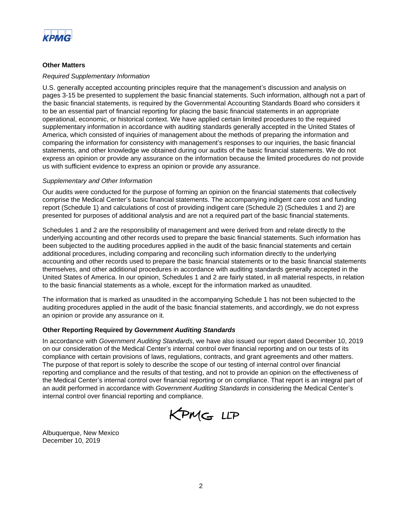

#### **Other Matters**

#### *Required Supplementary Information*

U.S. generally accepted accounting principles require that the management's discussion and analysis on pages 3-15 be presented to supplement the basic financial statements. Such information, although not a part of the basic financial statements, is required by the Governmental Accounting Standards Board who considers it to be an essential part of financial reporting for placing the basic financial statements in an appropriate operational, economic, or historical context. We have applied certain limited procedures to the required supplementary information in accordance with auditing standards generally accepted in the United States of America, which consisted of inquiries of management about the methods of preparing the information and comparing the information for consistency with management's responses to our inquiries, the basic financial statements, and other knowledge we obtained during our audits of the basic financial statements. We do not express an opinion or provide any assurance on the information because the limited procedures do not provide us with sufficient evidence to express an opinion or provide any assurance.

#### *Supplementary and Other Information*

Our audits were conducted for the purpose of forming an opinion on the financial statements that collectively comprise the Medical Center's basic financial statements. The accompanying indigent care cost and funding report (Schedule 1) and calculations of cost of providing indigent care (Schedule 2) (Schedules 1 and 2) are presented for purposes of additional analysis and are not a required part of the basic financial statements.

Schedules 1 and 2 are the responsibility of management and were derived from and relate directly to the underlying accounting and other records used to prepare the basic financial statements. Such information has been subjected to the auditing procedures applied in the audit of the basic financial statements and certain additional procedures, including comparing and reconciling such information directly to the underlying accounting and other records used to prepare the basic financial statements or to the basic financial statements themselves, and other additional procedures in accordance with auditing standards generally accepted in the United States of America. In our opinion, Schedules 1 and 2 are fairly stated, in all material respects, in relation to the basic financial statements as a whole, except for the information marked as unaudited.

The information that is marked as unaudited in the accompanying Schedule 1 has not been subjected to the auditing procedures applied in the audit of the basic financial statements, and accordingly, we do not express an opinion or provide any assurance on it.

#### **Other Reporting Required by** *Government Auditing Standards*

In accordance with *Government Auditing Standards*, we have also issued our report dated December 10, 2019 on our consideration of the Medical Center's internal control over financial reporting and on our tests of its compliance with certain provisions of laws, regulations, contracts, and grant agreements and other matters. The purpose of that report is solely to describe the scope of our testing of internal control over financial reporting and compliance and the results of that testing, and not to provide an opinion on the effectiveness of the Medical Center's internal control over financial reporting or on compliance. That report is an integral part of an audit performed in accordance with *Government Auditing Standards* in considering the Medical Center's internal control over financial reporting and compliance.

KPMG LLP

Albuquerque, New Mexico December 10, 2019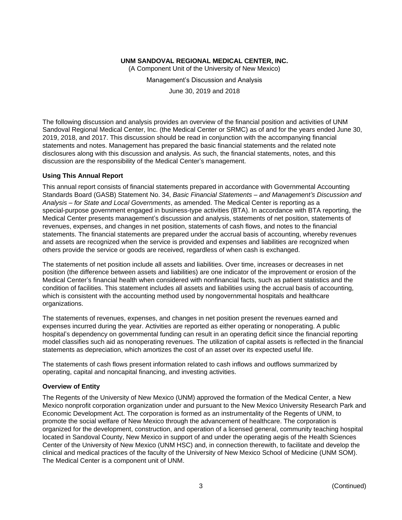(A Component Unit of the University of New Mexico)

Management's Discussion and Analysis

June 30, 2019 and 2018

The following discussion and analysis provides an overview of the financial position and activities of UNM Sandoval Regional Medical Center, Inc. (the Medical Center or SRMC) as of and for the years ended June 30, 2019, 2018, and 2017. This discussion should be read in conjunction with the accompanying financial statements and notes. Management has prepared the basic financial statements and the related note disclosures along with this discussion and analysis. As such, the financial statements, notes, and this discussion are the responsibility of the Medical Center's management.

#### **Using This Annual Report**

This annual report consists of financial statements prepared in accordance with Governmental Accounting Standards Board (GASB) Statement No. 34, *Basic Financial Statements – and Management's Discussion and Analysis – for State and Local Governments*, as amended. The Medical Center is reporting as a special-purpose government engaged in business-type activities (BTA). In accordance with BTA reporting, the Medical Center presents management's discussion and analysis, statements of net position, statements of revenues, expenses, and changes in net position, statements of cash flows, and notes to the financial statements. The financial statements are prepared under the accrual basis of accounting, whereby revenues and assets are recognized when the service is provided and expenses and liabilities are recognized when others provide the service or goods are received, regardless of when cash is exchanged.

The statements of net position include all assets and liabilities. Over time, increases or decreases in net position (the difference between assets and liabilities) are one indicator of the improvement or erosion of the Medical Center's financial health when considered with nonfinancial facts, such as patient statistics and the condition of facilities. This statement includes all assets and liabilities using the accrual basis of accounting, which is consistent with the accounting method used by nongovernmental hospitals and healthcare organizations.

The statements of revenues, expenses, and changes in net position present the revenues earned and expenses incurred during the year. Activities are reported as either operating or nonoperating. A public hospital's dependency on governmental funding can result in an operating deficit since the financial reporting model classifies such aid as nonoperating revenues. The utilization of capital assets is reflected in the financial statements as depreciation, which amortizes the cost of an asset over its expected useful life.

The statements of cash flows present information related to cash inflows and outflows summarized by operating, capital and noncapital financing, and investing activities.

### **Overview of Entity**

The Regents of the University of New Mexico (UNM) approved the formation of the Medical Center, a New Mexico nonprofit corporation organization under and pursuant to the New Mexico University Research Park and Economic Development Act. The corporation is formed as an instrumentality of the Regents of UNM, to promote the social welfare of New Mexico through the advancement of healthcare. The corporation is organized for the development, construction, and operation of a licensed general, community teaching hospital located in Sandoval County, New Mexico in support of and under the operating aegis of the Health Sciences Center of the University of New Mexico (UNM HSC) and, in connection therewith, to facilitate and develop the clinical and medical practices of the faculty of the University of New Mexico School of Medicine (UNM SOM). The Medical Center is a component unit of UNM.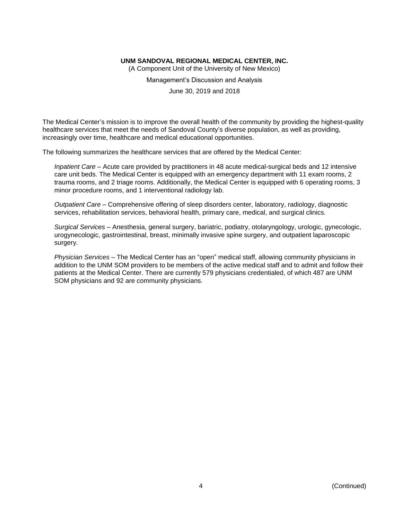(A Component Unit of the University of New Mexico)

Management's Discussion and Analysis

June 30, 2019 and 2018

The Medical Center's mission is to improve the overall health of the community by providing the highest-quality healthcare services that meet the needs of Sandoval County's diverse population, as well as providing, increasingly over time, healthcare and medical educational opportunities.

The following summarizes the healthcare services that are offered by the Medical Center:

*Inpatient Care* – Acute care provided by practitioners in 48 acute medical-surgical beds and 12 intensive care unit beds. The Medical Center is equipped with an emergency department with 11 exam rooms, 2 trauma rooms, and 2 triage rooms. Additionally, the Medical Center is equipped with 6 operating rooms, 3 minor procedure rooms, and 1 interventional radiology lab.

*Outpatient Care* – Comprehensive offering of sleep disorders center, laboratory, radiology, diagnostic services, rehabilitation services, behavioral health, primary care, medical, and surgical clinics.

*Surgical Services* – Anesthesia, general surgery, bariatric, podiatry, otolaryngology, urologic, gynecologic, urogynecologic, gastrointestinal, breast, minimally invasive spine surgery, and outpatient laparoscopic surgery.

*Physician Services* – The Medical Center has an "open" medical staff, allowing community physicians in addition to the UNM SOM providers to be members of the active medical staff and to admit and follow their patients at the Medical Center. There are currently 579 physicians credentialed, of which 487 are UNM SOM physicians and 92 are community physicians.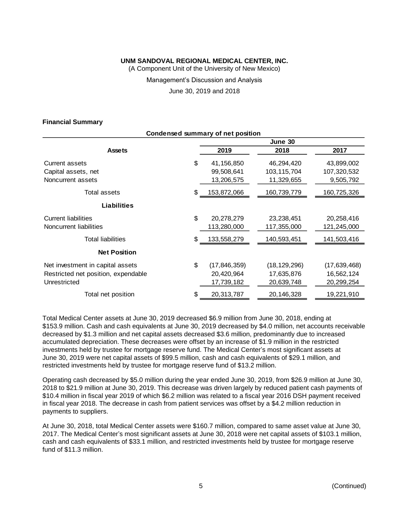(A Component Unit of the University of New Mexico)

Management's Discussion and Analysis

June 30, 2019 and 2018

#### **Financial Summary**

| <b>Condensed summary of net position</b> |    |                |                |              |  |  |  |
|------------------------------------------|----|----------------|----------------|--------------|--|--|--|
|                                          |    | June 30        |                |              |  |  |  |
| <b>Assets</b>                            |    | 2019           | 2018           | 2017         |  |  |  |
| Current assets                           | \$ | 41,156,850     | 46,294,420     | 43,899,002   |  |  |  |
| Capital assets, net                      |    | 99,508,641     | 103,115,704    | 107,320,532  |  |  |  |
| Noncurrent assets                        |    | 13,206,575     | 11,329,655     | 9,505,792    |  |  |  |
| Total assets                             | S  | 153,872,066    | 160,739,779    | 160,725,326  |  |  |  |
| <b>Liabilities</b>                       |    |                |                |              |  |  |  |
| <b>Current liabilities</b>               | \$ | 20,278,279     | 23,238,451     | 20,258,416   |  |  |  |
| Noncurrent liabilities                   |    | 113,280,000    | 117,355,000    | 121,245,000  |  |  |  |
| <b>Total liabilities</b>                 | \$ | 133,558,279    | 140,593,451    | 141,503,416  |  |  |  |
| <b>Net Position</b>                      |    |                |                |              |  |  |  |
| Net investment in capital assets         | \$ | (17, 846, 359) | (18, 129, 296) | (17,639,468) |  |  |  |
| Restricted net position, expendable      |    | 20,420,964     | 17,635,876     | 16,562,124   |  |  |  |
| Unrestricted                             |    | 17,739,182     | 20,639,748     | 20,299,254   |  |  |  |
| Total net position                       | \$ | 20,313,787     | 20, 146, 328   | 19,221,910   |  |  |  |

Total Medical Center assets at June 30, 2019 decreased \$6.9 million from June 30, 2018, ending at \$153.9 million. Cash and cash equivalents at June 30, 2019 decreased by \$4.0 million, net accounts receivable decreased by \$1.3 million and net capital assets decreased \$3.6 million, predominantly due to increased accumulated depreciation. These decreases were offset by an increase of \$1.9 million in the restricted investments held by trustee for mortgage reserve fund. The Medical Center's most significant assets at June 30, 2019 were net capital assets of \$99.5 million, cash and cash equivalents of \$29.1 million, and restricted investments held by trustee for mortgage reserve fund of \$13.2 million.

Operating cash decreased by \$5.0 million during the year ended June 30, 2019, from \$26.9 million at June 30, 2018 to \$21.9 million at June 30, 2019. This decrease was driven largely by reduced patient cash payments of \$10.4 million in fiscal year 2019 of which \$6.2 million was related to a fiscal year 2016 DSH payment received in fiscal year 2018. The decrease in cash from patient services was offset by a \$4.2 million reduction in payments to suppliers.

At June 30, 2018, total Medical Center assets were \$160.7 million, compared to same asset value at June 30, 2017. The Medical Center's most significant assets at June 30, 2018 were net capital assets of \$103.1 million, cash and cash equivalents of \$33.1 million, and restricted investments held by trustee for mortgage reserve fund of \$11.3 million.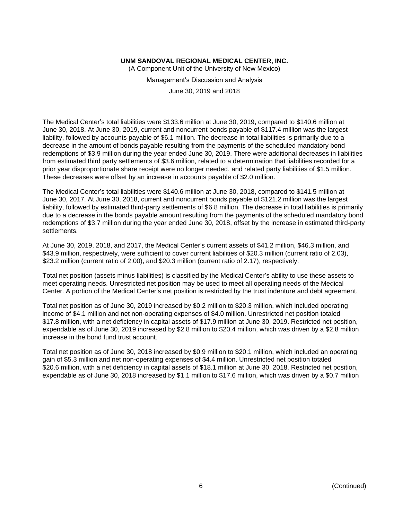(A Component Unit of the University of New Mexico)

Management's Discussion and Analysis

June 30, 2019 and 2018

The Medical Center's total liabilities were \$133.6 million at June 30, 2019, compared to \$140.6 million at June 30, 2018. At June 30, 2019, current and noncurrent bonds payable of \$117.4 million was the largest liability, followed by accounts payable of \$6.1 million. The decrease in total liabilities is primarily due to a decrease in the amount of bonds payable resulting from the payments of the scheduled mandatory bond redemptions of \$3.9 million during the year ended June 30, 2019. There were additional decreases in liabilities from estimated third party settlements of \$3.6 million, related to a determination that liabilities recorded for a prior year disproportionate share receipt were no longer needed, and related party liabilities of \$1.5 million. These decreases were offset by an increase in accounts payable of \$2.0 million.

The Medical Center's total liabilities were \$140.6 million at June 30, 2018, compared to \$141.5 million at June 30, 2017. At June 30, 2018, current and noncurrent bonds payable of \$121.2 million was the largest liability, followed by estimated third-party settlements of \$6.8 million. The decrease in total liabilities is primarily due to a decrease in the bonds payable amount resulting from the payments of the scheduled mandatory bond redemptions of \$3.7 million during the year ended June 30, 2018, offset by the increase in estimated third-party settlements.

At June 30, 2019, 2018, and 2017, the Medical Center's current assets of \$41.2 million, \$46.3 million, and \$43.9 million, respectively, were sufficient to cover current liabilities of \$20.3 million (current ratio of 2.03), \$23.2 million (current ratio of 2.00), and \$20.3 million (current ratio of 2.17), respectively.

Total net position (assets minus liabilities) is classified by the Medical Center's ability to use these assets to meet operating needs. Unrestricted net position may be used to meet all operating needs of the Medical Center. A portion of the Medical Center's net position is restricted by the trust indenture and debt agreement.

Total net position as of June 30, 2019 increased by \$0.2 million to \$20.3 million, which included operating income of \$4.1 million and net non-operating expenses of \$4.0 million. Unrestricted net position totaled \$17.8 million, with a net deficiency in capital assets of \$17.9 million at June 30, 2019. Restricted net position, expendable as of June 30, 2019 increased by \$2.8 million to \$20.4 million, which was driven by a \$2.8 million increase in the bond fund trust account.

Total net position as of June 30, 2018 increased by \$0.9 million to \$20.1 million, which included an operating gain of \$5.3 million and net non-operating expenses of \$4.4 million. Unrestricted net position totaled \$20.6 million, with a net deficiency in capital assets of \$18.1 million at June 30, 2018. Restricted net position, expendable as of June 30, 2018 increased by \$1.1 million to \$17.6 million, which was driven by a \$0.7 million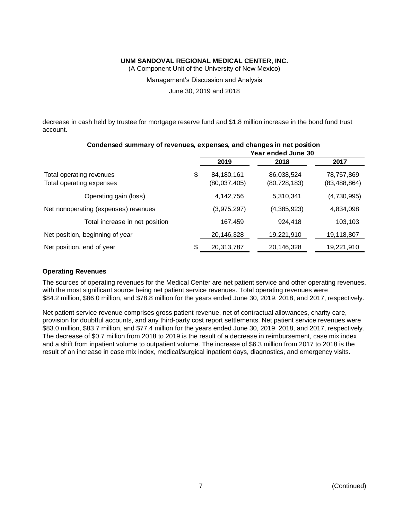(A Component Unit of the University of New Mexico)

Management's Discussion and Analysis

June 30, 2019 and 2018

decrease in cash held by trustee for mortgage reserve fund and \$1.8 million increase in the bond fund trust account.

| Condensed summary of revenues, expenses, and changes in net position |    |                    |              |                |  |  |
|----------------------------------------------------------------------|----|--------------------|--------------|----------------|--|--|
|                                                                      |    | Year ended June 30 |              |                |  |  |
|                                                                      |    | 2019               | 2018         | 2017           |  |  |
| Total operating revenues                                             | \$ | 84, 180, 161       | 86,038,524   | 78,757,869     |  |  |
| Total operating expenses                                             |    | (80,037,405)       | (80,728,183) | (83, 488, 864) |  |  |
| Operating gain (loss)                                                |    | 4, 142, 756        | 5,310,341    | (4,730,995)    |  |  |
| Net nonoperating (expenses) revenues                                 |    | (3,975,297)        | (4,385,923)  | 4,834,098      |  |  |
| Total increase in net position                                       |    | 167,459            | 924.418      | 103,103        |  |  |
| Net position, beginning of year                                      |    | 20,146,328         | 19,221,910   | 19,118,807     |  |  |
| Net position, end of year                                            |    | 20,313,787         | 20,146,328   | 19,221,910     |  |  |

#### **Operating Revenues**

The sources of operating revenues for the Medical Center are net patient service and other operating revenues, with the most significant source being net patient service revenues. Total operating revenues were \$84.2 million, \$86.0 million, and \$78.8 million for the years ended June 30, 2019, 2018, and 2017, respectively.

Net patient service revenue comprises gross patient revenue, net of contractual allowances, charity care, provision for doubtful accounts, and any third-party cost report settlements. Net patient service revenues were \$83.0 million, \$83.7 million, and \$77.4 million for the years ended June 30, 2019, 2018, and 2017, respectively. The decrease of \$0.7 million from 2018 to 2019 is the result of a decrease in reimbursement, case mix index and a shift from inpatient volume to outpatient volume. The increase of \$6.3 million from 2017 to 2018 is the result of an increase in case mix index, medical/surgical inpatient days, diagnostics, and emergency visits.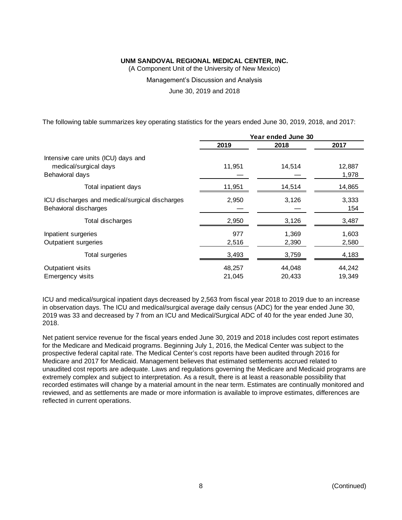(A Component Unit of the University of New Mexico)

Management's Discussion and Analysis

June 30, 2019 and 2018

The following table summarizes key operating statistics for the years ended June 30, 2019, 2018, and 2017:

|                                                                                 | Year ended June 30 |                  |                  |  |  |
|---------------------------------------------------------------------------------|--------------------|------------------|------------------|--|--|
|                                                                                 | 2019               | 2018             | 2017             |  |  |
| Intensive care units (ICU) days and<br>medical/surgical days<br>Behavioral days | 11,951             | 14,514           | 12,887<br>1,978  |  |  |
| Total inpatient days                                                            | 11,951             | 14,514           | 14,865           |  |  |
| ICU discharges and medical/surgical discharges<br>Behavioral discharges         | 2,950              | 3,126            | 3,333<br>154     |  |  |
| Total discharges                                                                | 2,950              | 3,126            | 3,487            |  |  |
| Inpatient surgeries<br>Outpatient surgeries                                     | 977<br>2,516       | 1,369<br>2,390   | 1,603<br>2,580   |  |  |
| Total surgeries                                                                 | 3,493              | 3,759            | 4,183            |  |  |
| Outpatient visits<br>Emergency visits                                           | 48,257<br>21,045   | 44,048<br>20,433 | 44,242<br>19,349 |  |  |

ICU and medical/surgical inpatient days decreased by 2,563 from fiscal year 2018 to 2019 due to an increase in observation days. The ICU and medical/surgical average daily census (ADC) for the year ended June 30, 2019 was 33 and decreased by 7 from an ICU and Medical/Surgical ADC of 40 for the year ended June 30, 2018.

Net patient service revenue for the fiscal years ended June 30, 2019 and 2018 includes cost report estimates for the Medicare and Medicaid programs. Beginning July 1, 2016, the Medical Center was subject to the prospective federal capital rate. The Medical Center's cost reports have been audited through 2016 for Medicare and 2017 for Medicaid. Management believes that estimated settlements accrued related to unaudited cost reports are adequate. Laws and regulations governing the Medicare and Medicaid programs are extremely complex and subject to interpretation. As a result, there is at least a reasonable possibility that recorded estimates will change by a material amount in the near term. Estimates are continually monitored and reviewed, and as settlements are made or more information is available to improve estimates, differences are reflected in current operations.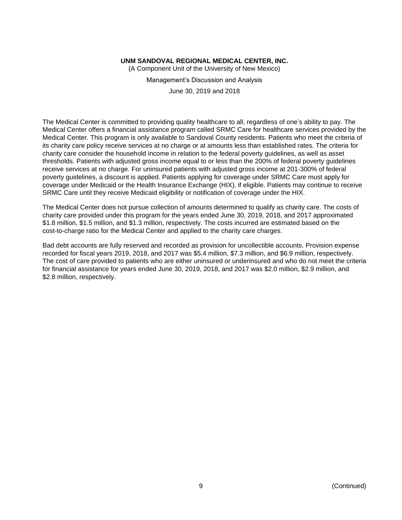(A Component Unit of the University of New Mexico)

Management's Discussion and Analysis

June 30, 2019 and 2018

The Medical Center is committed to providing quality healthcare to all, regardless of one's ability to pay. The Medical Center offers a financial assistance program called SRMC Care for healthcare services provided by the Medical Center. This program is only available to Sandoval County residents. Patients who meet the criteria of its charity care policy receive services at no charge or at amounts less than established rates. The criteria for charity care consider the household income in relation to the federal poverty guidelines, as well as asset thresholds. Patients with adjusted gross income equal to or less than the 200% of federal poverty guidelines receive services at no charge. For uninsured patients with adjusted gross income at 201-300% of federal poverty guidelines, a discount is applied. Patients applying for coverage under SRMC Care must apply for coverage under Medicaid or the Health Insurance Exchange (HIX), if eligible. Patients may continue to receive SRMC Care until they receive Medicaid eligibility or notification of coverage under the HIX.

The Medical Center does not pursue collection of amounts determined to qualify as charity care. The costs of charity care provided under this program for the years ended June 30, 2019, 2018, and 2017 approximated \$1.8 million, \$1.5 million, and \$1.3 million, respectively. The costs incurred are estimated based on the cost-to-charge ratio for the Medical Center and applied to the charity care charges.

Bad debt accounts are fully reserved and recorded as provision for uncollectible accounts. Provision expense recorded for fiscal years 2019, 2018, and 2017 was \$5.4 million, \$7.3 million, and \$6.9 million, respectively. The cost of care provided to patients who are either uninsured or underinsured and who do not meet the criteria for financial assistance for years ended June 30, 2019, 2018, and 2017 was \$2.0 million, \$2.9 million, and \$2.8 million, respectively.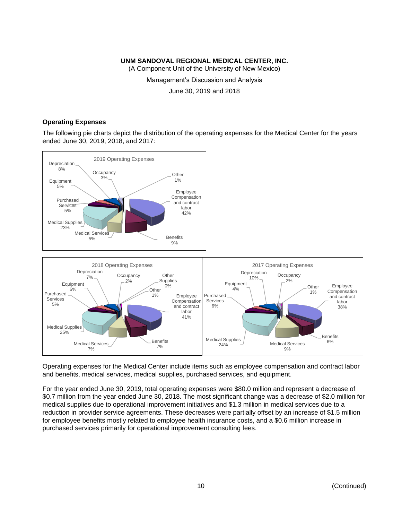(A Component Unit of the University of New Mexico)

Management's Discussion and Analysis

June 30, 2019 and 2018

#### **Operating Expenses**

The following pie charts depict the distribution of the operating expenses for the Medical Center for the years ended June 30, 2019, 2018, and 2017:



Operating expenses for the Medical Center include items such as employee compensation and contract labor and benefits, medical services, medical supplies, purchased services, and equipment.

For the year ended June 30, 2019, total operating expenses were \$80.0 million and represent a decrease of \$0.7 million from the year ended June 30, 2018. The most significant change was a decrease of \$2.0 million for medical supplies due to operational improvement initiatives and \$1.3 million in medical services due to a reduction in provider service agreements. These decreases were partially offset by an increase of \$1.5 million for employee benefits mostly related to employee health insurance costs, and a \$0.6 million increase in purchased services primarily for operational improvement consulting fees.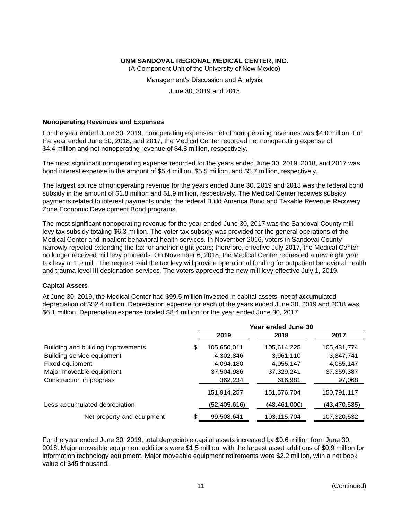(A Component Unit of the University of New Mexico)

Management's Discussion and Analysis

June 30, 2019 and 2018

#### **Nonoperating Revenues and Expenses**

For the year ended June 30, 2019, nonoperating expenses net of nonoperating revenues was \$4.0 million. For the year ended June 30, 2018, and 2017, the Medical Center recorded net nonoperating expense of \$4.4 million and net nonoperating revenue of \$4.8 million, respectively.

The most significant nonoperating expense recorded for the years ended June 30, 2019, 2018, and 2017 was bond interest expense in the amount of \$5.4 million, \$5.5 million, and \$5.7 million, respectively.

The largest source of nonoperating revenue for the years ended June 30, 2019 and 2018 was the federal bond subsidy in the amount of \$1.8 million and \$1.9 million, respectively. The Medical Center receives subsidy payments related to interest payments under the federal Build America Bond and Taxable Revenue Recovery Zone Economic Development Bond programs.

The most significant nonoperating revenue for the year ended June 30, 2017 was the Sandoval County mill levy tax subsidy totaling \$6.3 million. The voter tax subsidy was provided for the general operations of the Medical Center and inpatient behavioral health services. In November 2016, voters in Sandoval County narrowly rejected extending the tax for another eight years; therefore, effective July 2017, the Medical Center no longer received mill levy proceeds. On November 6, 2018, the Medical Center requested a new eight year tax levy at 1.9 mill. The request said the tax levy will provide operational funding for outpatient behavioral health and trauma level III designation services. The voters approved the new mill levy effective July 1, 2019.

#### **Capital Assets**

At June 30, 2019, the Medical Center had \$99.5 million invested in capital assets, net of accumulated depreciation of \$52.4 million. Depreciation expense for each of the years ended June 30, 2019 and 2018 was \$6.1 million. Depreciation expense totaled \$8.4 million for the year ended June 30, 2017.

|                                          |              | Year ended June 30 |              |
|------------------------------------------|--------------|--------------------|--------------|
|                                          | 2019         | 2018               | 2017         |
| Building and building improvements<br>\$ | 105,650,011  | 105,614,225        | 105,431,774  |
| Building service equipment               | 4,302,846    | 3,961,110          | 3,847,741    |
| Fixed equipment                          | 4,094,180    | 4,055,147          | 4,055,147    |
| Major moveable equipment                 | 37,504,986   | 37,329,241         | 37, 359, 387 |
| Construction in progress                 | 362,234      | 616,981            | 97,068       |
|                                          | 151,914,257  | 151,576,704        | 150,791,117  |
| Less accumulated depreciation            | (52,405,616) | (48,461,000)       | (43,470,585) |
| \$<br>Net property and equipment         | 99,508,641   | 103,115,704        | 107,320,532  |

For the year ended June 30, 2019, total depreciable capital assets increased by \$0.6 million from June 30, 2018. Major moveable equipment additions were \$1.5 million, with the largest asset additions of \$0.9 million for information technology equipment. Major moveable equipment retirements were \$2.2 million, with a net book value of \$45 thousand.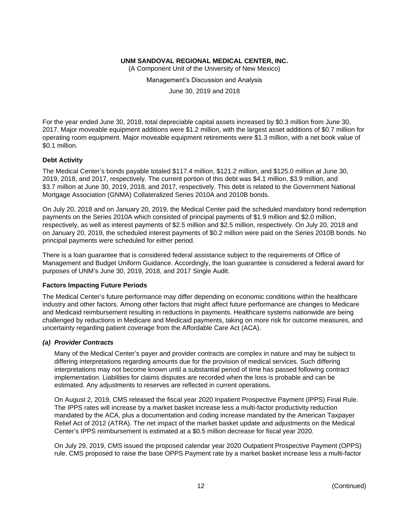(A Component Unit of the University of New Mexico)

Management's Discussion and Analysis

June 30, 2019 and 2018

For the year ended June 30, 2018, total depreciable capital assets increased by \$0.3 million from June 30, 2017. Major moveable equipment additions were \$1.2 million, with the largest asset additions of \$0.7 million for operating room equipment. Major moveable equipment retirements were \$1.3 million, with a net book value of \$0.1 million.

#### **Debt Activity**

The Medical Center's bonds payable totaled \$117.4 million, \$121.2 million, and \$125.0 million at June 30, 2019, 2018, and 2017, respectively. The current portion of this debt was \$4.1 million, \$3.9 million, and \$3.7 million at June 30, 2019, 2018, and 2017, respectively. This debt is related to the Government National Mortgage Association (GNMA) Collateralized Series 2010A and 2010B bonds.

On July 20, 2018 and on January 20, 2019, the Medical Center paid the scheduled mandatory bond redemption payments on the Series 2010A which consisted of principal payments of \$1.9 million and \$2.0 million, respectively, as well as interest payments of \$2.5 million and \$2.5 million, respectively. On July 20, 2018 and on January 20, 2019, the scheduled interest payments of \$0.2 million were paid on the Series 2010B bonds. No principal payments were scheduled for either period.

There is a loan guarantee that is considered federal assistance subject to the requirements of Office of Management and Budget Uniform Guidance. Accordingly, the loan guarantee is considered a federal award for purposes of UNM's June 30, 2019, 2018, and 2017 Single Audit.

#### **Factors Impacting Future Periods**

The Medical Center's future performance may differ depending on economic conditions within the healthcare industry and other factors. Among other factors that might affect future performance are changes to Medicare and Medicaid reimbursement resulting in reductions in payments. Healthcare systems nationwide are being challenged by reductions in Medicare and Medicaid payments, taking on more risk for outcome measures, and uncertainty regarding patient coverage from the Affordable Care Act (ACA).

#### *(a) Provider Contracts*

Many of the Medical Center's payer and provider contracts are complex in nature and may be subject to differing interpretations regarding amounts due for the provision of medical services. Such differing interpretations may not become known until a substantial period of time has passed following contract implementation. Liabilities for claims disputes are recorded when the loss is probable and can be estimated. Any adjustments to reserves are reflected in current operations.

On August 2, 2019, CMS released the fiscal year 2020 Inpatient Prospective Payment (IPPS) Final Rule. The IPPS rates will increase by a market basket increase less a multi-factor productivity reduction mandated by the ACA, plus a documentation and coding increase mandated by the American Taxpayer Relief Act of 2012 (ATRA). The net impact of the market basket update and adjustments on the Medical Center's IPPS reimbursement is estimated at a \$0.5 million decrease for fiscal year 2020.

On July 29, 2019, CMS issued the proposed calendar year 2020 Outpatient Prospective Payment (OPPS) rule. CMS proposed to raise the base OPPS Payment rate by a market basket increase less a multi-factor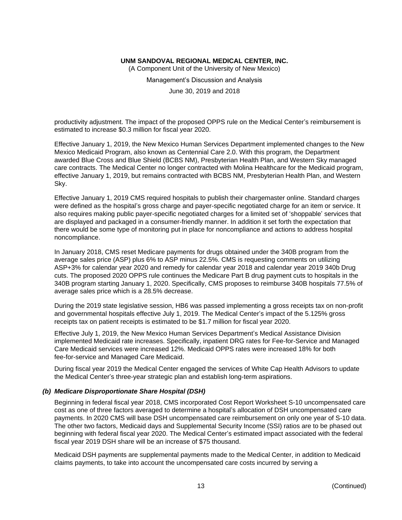(A Component Unit of the University of New Mexico)

Management's Discussion and Analysis

June 30, 2019 and 2018

productivity adjustment. The impact of the proposed OPPS rule on the Medical Center's reimbursement is estimated to increase \$0.3 million for fiscal year 2020.

Effective January 1, 2019, the New Mexico Human Services Department implemented changes to the New Mexico Medicaid Program, also known as Centennial Care 2.0. With this program, the Department awarded Blue Cross and Blue Shield (BCBS NM), Presbyterian Health Plan, and Western Sky managed care contracts. The Medical Center no longer contracted with Molina Healthcare for the Medicaid program, effective January 1, 2019, but remains contracted with BCBS NM, Presbyterian Health Plan, and Western Sky.

Effective January 1, 2019 CMS required hospitals to publish their chargemaster online. Standard charges were defined as the hospital's gross charge and payer-specific negotiated charge for an item or service. It also requires making public payer-specific negotiated charges for a limited set of 'shoppable' services that are displayed and packaged in a consumer-friendly manner. In addition it set forth the expectation that there would be some type of monitoring put in place for noncompliance and actions to address hospital noncompliance.

In January 2018, CMS reset Medicare payments for drugs obtained under the 340B program from the average sales price (ASP) plus 6% to ASP minus 22.5%. CMS is requesting comments on utilizing ASP+3% for calendar year 2020 and remedy for calendar year 2018 and calendar year 2019 340b Drug cuts. The proposed 2020 OPPS rule continues the Medicare Part B drug payment cuts to hospitals in the 340B program starting January 1, 2020. Specifically, CMS proposes to reimburse 340B hospitals 77.5% of average sales price which is a 28.5% decrease.

During the 2019 state legislative session, HB6 was passed implementing a gross receipts tax on non-profit and governmental hospitals effective July 1, 2019. The Medical Center's impact of the 5.125% gross receipts tax on patient receipts is estimated to be \$1.7 million for fiscal year 2020.

Effective July 1, 2019, the New Mexico Human Services Department's Medical Assistance Division implemented Medicaid rate increases. Specifically, inpatient DRG rates for Fee-for-Service and Managed Care Medicaid services were increased 12%. Medicaid OPPS rates were increased 18% for both fee-for-service and Managed Care Medicaid.

During fiscal year 2019 the Medical Center engaged the services of White Cap Health Advisors to update the Medical Center's three-year strategic plan and establish long-term aspirations.

#### *(b) Medicare Disproportionate Share Hospital (DSH)*

Beginning in federal fiscal year 2018, CMS incorporated Cost Report Worksheet S-10 uncompensated care cost as one of three factors averaged to determine a hospital's allocation of DSH uncompensated care payments. In 2020 CMS will base DSH uncompensated care reimbursement on only one year of S-10 data. The other two factors, Medicaid days and Supplemental Security Income (SSI) ratios are to be phased out beginning with federal fiscal year 2020. The Medical Center's estimated impact associated with the federal fiscal year 2019 DSH share will be an increase of \$75 thousand.

Medicaid DSH payments are supplemental payments made to the Medical Center, in addition to Medicaid claims payments, to take into account the uncompensated care costs incurred by serving a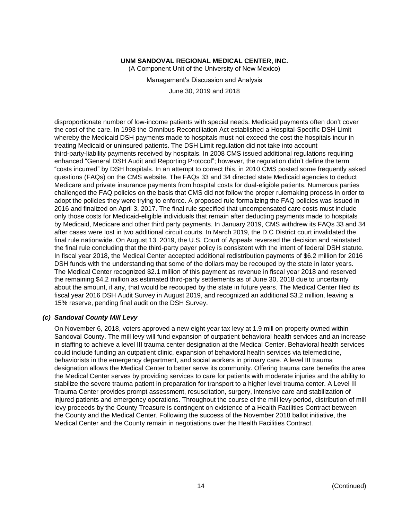(A Component Unit of the University of New Mexico)

Management's Discussion and Analysis

June 30, 2019 and 2018

disproportionate number of low-income patients with special needs. Medicaid payments often don't cover the cost of the care. In 1993 the Omnibus Reconciliation Act established a Hospital-Specific DSH Limit whereby the Medicaid DSH payments made to hospitals must not exceed the cost the hospitals incur in treating Medicaid or uninsured patients. The DSH Limit regulation did not take into account third-party-liability payments received by hospitals. In 2008 CMS issued additional regulations requiring enhanced "General DSH Audit and Reporting Protocol"; however, the regulation didn't define the term "costs incurred" by DSH hospitals. In an attempt to correct this, in 2010 CMS posted some frequently asked questions (FAQs) on the CMS website. The FAQs 33 and 34 directed state Medicaid agencies to deduct Medicare and private insurance payments from hospital costs for dual-eligible patients. Numerous parties challenged the FAQ policies on the basis that CMS did not follow the proper rulemaking process in order to adopt the policies they were trying to enforce. A proposed rule formalizing the FAQ policies was issued in 2016 and finalized on April 3, 2017. The final rule specified that uncompensated care costs must include only those costs for Medicaid-eligible individuals that remain after deducting payments made to hospitals by Medicaid, Medicare and other third party payments. In January 2019, CMS withdrew its FAQs 33 and 34 after cases were lost in two additional circuit courts. In March 2019, the D.C District court invalidated the final rule nationwide. On August 13, 2019, the U.S. Court of Appeals reversed the decision and reinstated the final rule concluding that the third-party payer policy is consistent with the intent of federal DSH statute. In fiscal year 2018, the Medical Center accepted additional redistribution payments of \$6.2 million for 2016 DSH funds with the understanding that some of the dollars may be recouped by the state in later years. The Medical Center recognized \$2.1 million of this payment as revenue in fiscal year 2018 and reserved the remaining \$4.2 million as estimated third-party settlements as of June 30, 2018 due to uncertainty about the amount, if any, that would be recouped by the state in future years. The Medical Center filed its fiscal year 2016 DSH Audit Survey in August 2019, and recognized an additional \$3.2 million, leaving a 15% reserve, pending final audit on the DSH Survey.

#### *(c) Sandoval County Mill Levy*

On November 6, 2018, voters approved a new eight year tax levy at 1.9 mill on property owned within Sandoval County. The mill levy will fund expansion of outpatient behavioral health services and an increase in staffing to achieve a level III trauma center designation at the Medical Center. Behavioral health services could include funding an outpatient clinic, expansion of behavioral health services via telemedicine, behaviorists in the emergency department, and social workers in primary care. A level III trauma designation allows the Medical Center to better serve its community. Offering trauma care benefits the area the Medical Center serves by providing services to care for patients with moderate injuries and the ability to stabilize the severe trauma patient in preparation for transport to a higher level trauma center. A Level III Trauma Center provides prompt assessment, resuscitation, surgery, intensive care and stabilization of injured patients and emergency operations. Throughout the course of the mill levy period, distribution of mill levy proceeds by the County Treasure is contingent on existence of a Health Facilities Contract between the County and the Medical Center. Following the success of the November 2018 ballot initiative, the Medical Center and the County remain in negotiations over the Health Facilities Contract.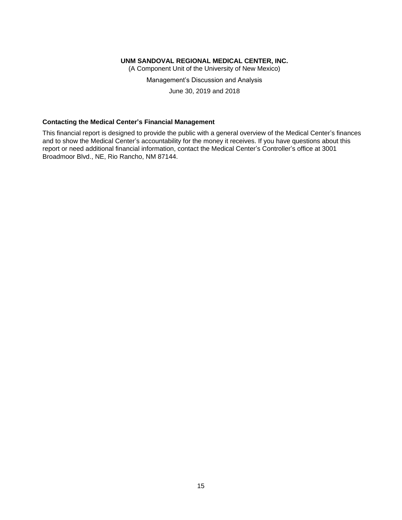(A Component Unit of the University of New Mexico)

Management's Discussion and Analysis

June 30, 2019 and 2018

#### **Contacting the Medical Center's Financial Management**

This financial report is designed to provide the public with a general overview of the Medical Center's finances and to show the Medical Center's accountability for the money it receives. If you have questions about this report or need additional financial information, contact the Medical Center's Controller's office at 3001 Broadmoor Blvd., NE, Rio Rancho, NM 87144.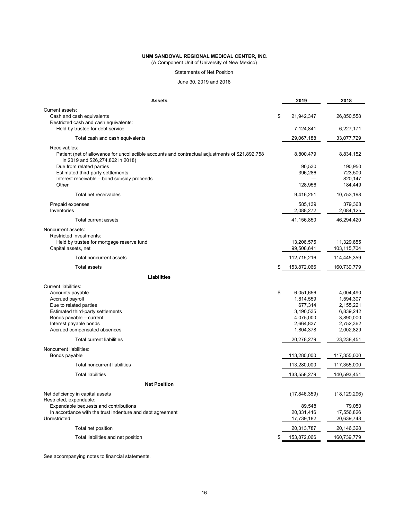(A Component Unit of University of New Mexico)

Statements of Net Position

June 30, 2019 and 2018

| Assets                                                                                           | 2019                 | 2018                 |
|--------------------------------------------------------------------------------------------------|----------------------|----------------------|
| Current assets:                                                                                  |                      |                      |
| Cash and cash equivalents                                                                        | \$<br>21,942,347     | 26,850,558           |
| Restricted cash and cash equivalents:                                                            |                      |                      |
| Held by trustee for debt service                                                                 | 7,124,841            | 6,227,171            |
| Total cash and cash equivalents                                                                  | 29,067,188           | 33,077,729           |
| Receivables:                                                                                     |                      |                      |
| Patient (net of allowance for uncollectible accounts and contractual adjustments of \$21,892,758 | 8,800,479            | 8,834,152            |
| in 2019 and \$26,274,862 in 2018)                                                                |                      |                      |
| Due from related parties<br>Estimated third-party settlements                                    | 90,530               | 190,950              |
| Interest receivable - bond subsidy proceeds                                                      | 396,286              | 723,500<br>820,147   |
| Other                                                                                            | 128,956              | 184,449              |
| Total net receivables                                                                            | 9,416,251            | 10,753,198           |
|                                                                                                  |                      |                      |
| Prepaid expenses<br>Inventories                                                                  | 585,139<br>2,088,272 | 379,368<br>2,084,125 |
| Total current assets                                                                             | 41,156,850           | 46,294,420           |
|                                                                                                  |                      |                      |
| Noncurrent assets:<br>Restricted investments:                                                    |                      |                      |
| Held by trustee for mortgage reserve fund                                                        | 13,206,575           | 11,329,655           |
| Capital assets, net                                                                              | 99,508,641           | 103,115,704          |
| Total noncurrent assets                                                                          | 112,715,216          | 114,445,359          |
| <b>Total assets</b>                                                                              | \$<br>153,872,066    | 160,739,779          |
| Liabilities                                                                                      |                      |                      |
|                                                                                                  |                      |                      |
| <b>Current liabilities:</b><br>Accounts payable                                                  | \$<br>6,051,656      | 4,004,490            |
| Accrued payroll                                                                                  | 1,814,559            | 1,594,307            |
| Due to related parties                                                                           | 677,314              | 2,155,221            |
| Estimated third-party settlements                                                                | 3,190,535            | 6,839,242            |
| Bonds payable - current                                                                          | 4,075,000            | 3,890,000            |
| Interest payable bonds                                                                           | 2,664,837            | 2,752,362            |
| Accrued compensated absences                                                                     | 1,804,378            | 2,002,829            |
| <b>Total current liabilities</b>                                                                 | 20,278,279           | 23,238,451           |
| Noncurrent liabilities:                                                                          |                      |                      |
| Bonds payable                                                                                    | 113,280,000          | 117,355,000          |
| <b>Total noncurrent liabilities</b>                                                              | 113,280,000          | 117,355,000          |
| <b>Total liabilities</b>                                                                         | 133,558,279          | 140,593,451          |
| <b>Net Position</b>                                                                              |                      |                      |
| Net deficiency in capital assets                                                                 | (17, 846, 359)       | (18, 129, 296)       |
| Restricted, expendable:                                                                          |                      |                      |
| Expendable bequests and contributions                                                            | 89,548               | 79,050               |
| In accordance with the trust indenture and debt agreement                                        | 20,331,416           | 17,556,826           |
| Unrestricted                                                                                     | 17,739,182           | 20,639,748           |
| Total net position                                                                               | 20,313,787           | 20,146,328           |
| Total liabilities and net position                                                               | \$<br>153,872,066    | 160,739,779          |

See accompanying notes to financial statements.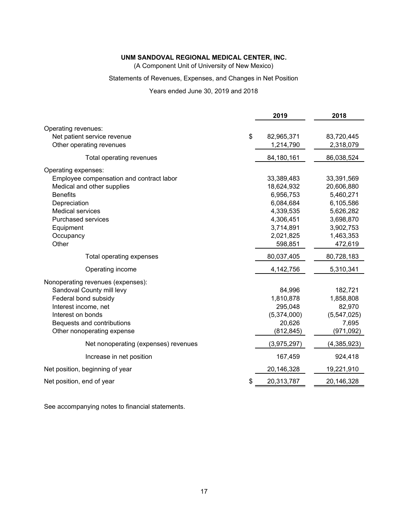(A Component Unit of University of New Mexico)

# Statements of Revenues, Expenses, and Changes in Net Position

Years ended June 30, 2019 and 2018

|                                          | 2019             | 2018        |
|------------------------------------------|------------------|-------------|
| Operating revenues:                      |                  |             |
| Net patient service revenue              | \$<br>82,965,371 | 83,720,445  |
| Other operating revenues                 | 1,214,790        | 2,318,079   |
| Total operating revenues                 | 84,180,161       | 86,038,524  |
| Operating expenses:                      |                  |             |
| Employee compensation and contract labor | 33,389,483       | 33,391,569  |
| Medical and other supplies               | 18,624,932       | 20,606,880  |
| <b>Benefits</b>                          | 6,956,753        | 5,460,271   |
| Depreciation                             | 6,084,684        | 6,105,586   |
| <b>Medical services</b>                  | 4,339,535        | 5,626,282   |
| <b>Purchased services</b>                | 4,306,451        | 3,698,870   |
| Equipment                                | 3,714,891        | 3,902,753   |
| Occupancy                                | 2,021,825        | 1,463,353   |
| Other                                    | 598,851          | 472,619     |
| Total operating expenses                 | 80,037,405       | 80,728,183  |
| Operating income                         | 4,142,756        | 5,310,341   |
| Nonoperating revenues (expenses):        |                  |             |
| Sandoval County mill levy                | 84,996           | 182,721     |
| Federal bond subsidy                     | 1,810,878        | 1,858,808   |
| Interest income, net                     | 295,048          | 82,970      |
| Interest on bonds                        | (5,374,000)      | (5,547,025) |
| Bequests and contributions               | 20,626           | 7,695       |
| Other nonoperating expense               | (812, 845)       | (971, 092)  |
| Net nonoperating (expenses) revenues     | (3,975,297)      | (4,385,923) |
| Increase in net position                 | 167,459          | 924,418     |
| Net position, beginning of year          | 20,146,328       | 19,221,910  |
| Net position, end of year                | \$<br>20,313,787 | 20,146,328  |

See accompanying notes to financial statements.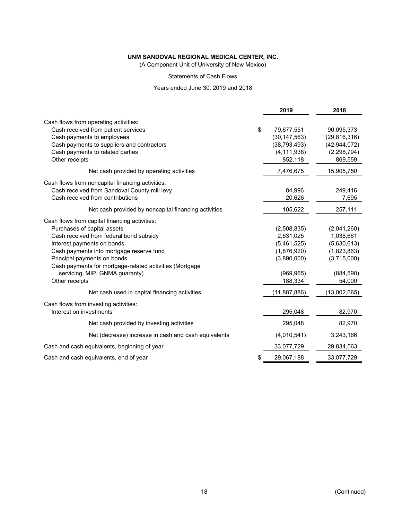(A Component Unit of University of New Mexico)

Statements of Cash Flows

#### Years ended June 30, 2019 and 2018

|                                                                                                                                                                                                                                                                                                                                                                                                  | 2019                                                                                                             | 2018                                                                                                          |
|--------------------------------------------------------------------------------------------------------------------------------------------------------------------------------------------------------------------------------------------------------------------------------------------------------------------------------------------------------------------------------------------------|------------------------------------------------------------------------------------------------------------------|---------------------------------------------------------------------------------------------------------------|
| Cash flows from operating activities:<br>Cash received from patient services<br>Cash payments to employees<br>Cash payments to suppliers and contractors<br>Cash payments to related parties<br>Other receipts                                                                                                                                                                                   | \$<br>79,677,551<br>(30, 147, 563)<br>(38, 793, 493)<br>(4, 111, 938)<br>852,118                                 | 90,095,373<br>(29, 816, 316)<br>(42, 944, 072)<br>(2,298,794)<br>869,559                                      |
| Net cash provided by operating activities                                                                                                                                                                                                                                                                                                                                                        | 7,476,675                                                                                                        | 15,905,750                                                                                                    |
| Cash flows from noncapital financing activities:<br>Cash received from Sandoval County mill levy<br>Cash received from contributions                                                                                                                                                                                                                                                             | 84,996<br>20,626                                                                                                 | 249,416<br>7,695                                                                                              |
| Net cash provided by noncapital financing activities                                                                                                                                                                                                                                                                                                                                             | 105,622                                                                                                          | 257,111                                                                                                       |
| Cash flows from capital financing activities:<br>Purchases of capital assets<br>Cash received from federal bond subsidy<br>Interest payments on bonds<br>Cash payments into mortgage reserve fund<br>Principal payments on bonds<br>Cash payments for mortgage-related activities (Mortgage<br>servicing, MIP, GNMA guaranty)<br>Other receipts<br>Net cash used in capital financing activities | (2,508,835)<br>2,631,025<br>(5,461,525)<br>(1,876,920)<br>(3,890,000)<br>(969, 965)<br>188,334<br>(11, 887, 886) | (2,041,260)<br>1,038,661<br>(5,630,613)<br>(1,823,863)<br>(3,715,000)<br>(884, 590)<br>54,000<br>(13,002,665) |
| Cash flows from investing activities:                                                                                                                                                                                                                                                                                                                                                            |                                                                                                                  |                                                                                                               |
| Interest on investments                                                                                                                                                                                                                                                                                                                                                                          | 295,048                                                                                                          | 82,970                                                                                                        |
| Net cash provided by investing activities                                                                                                                                                                                                                                                                                                                                                        | 295,048                                                                                                          | 82,970                                                                                                        |
| Net (decrease) increase in cash and cash equivalents                                                                                                                                                                                                                                                                                                                                             | (4,010,541)                                                                                                      | 3,243,166                                                                                                     |
| Cash and cash equivalents, beginning of year                                                                                                                                                                                                                                                                                                                                                     | 33,077,729                                                                                                       | 29,834,563                                                                                                    |
| Cash and cash equivalents, end of year                                                                                                                                                                                                                                                                                                                                                           | \$<br>29,067,188                                                                                                 | 33,077,729                                                                                                    |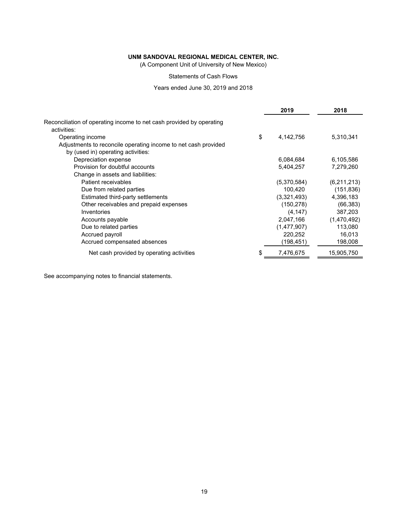(A Component Unit of University of New Mexico)

Statements of Cash Flows

Years ended June 30, 2019 and 2018

|                                                                                                      | 2019            | 2018        |
|------------------------------------------------------------------------------------------------------|-----------------|-------------|
| Reconciliation of operating income to net cash provided by operating<br>activities:                  |                 |             |
| Operating income                                                                                     | \$<br>4,142,756 | 5,310,341   |
| Adjustments to reconcile operating income to net cash provided<br>by (used in) operating activities: |                 |             |
| Depreciation expense                                                                                 | 6,084,684       | 6,105,586   |
| Provision for doubtful accounts                                                                      | 5,404,257       | 7,279,260   |
| Change in assets and liabilities:                                                                    |                 |             |
| Patient receivables                                                                                  | (5,370,584)     | (6,211,213) |
| Due from related parties                                                                             | 100,420         | (151, 836)  |
| Estimated third-party settlements                                                                    | (3,321,493)     | 4,396,183   |
| Other receivables and prepaid expenses                                                               | (150, 278)      | (66, 383)   |
| Inventories                                                                                          | (4, 147)        | 387,203     |
| Accounts payable                                                                                     | 2,047,166       | (1,470,492) |
| Due to related parties                                                                               | (1,477,907)     | 113,080     |
| Accrued payroll                                                                                      | 220,252         | 16,013      |
| Accrued compensated absences                                                                         | (198,451)       | 198,008     |
| Net cash provided by operating activities                                                            | \$<br>7,476,675 | 15,905,750  |
|                                                                                                      |                 |             |

See accompanying notes to financial statements.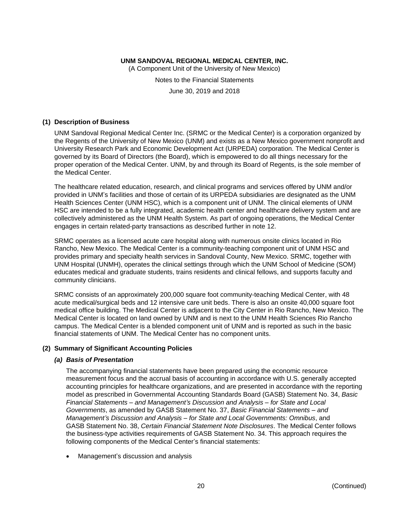(A Component Unit of the University of New Mexico)

Notes to the Financial Statements

June 30, 2019 and 2018

#### **(1) Description of Business**

UNM Sandoval Regional Medical Center Inc. (SRMC or the Medical Center) is a corporation organized by the Regents of the University of New Mexico (UNM) and exists as a New Mexico government nonprofit and University Research Park and Economic Development Act (URPEDA) corporation. The Medical Center is governed by its Board of Directors (the Board), which is empowered to do all things necessary for the proper operation of the Medical Center. UNM, by and through its Board of Regents, is the sole member of the Medical Center.

The healthcare related education, research, and clinical programs and services offered by UNM and/or provided in UNM's facilities and those of certain of its URPEDA subsidiaries are designated as the UNM Health Sciences Center (UNM HSC), which is a component unit of UNM. The clinical elements of UNM HSC are intended to be a fully integrated, academic health center and healthcare delivery system and are collectively administered as the UNM Health System. As part of ongoing operations, the Medical Center engages in certain related-party transactions as described further in note 12.

SRMC operates as a licensed acute care hospital along with numerous onsite clinics located in Rio Rancho, New Mexico. The Medical Center is a community-teaching component unit of UNM HSC and provides primary and specialty health services in Sandoval County, New Mexico. SRMC, together with UNM Hospital (UNMH), operates the clinical settings through which the UNM School of Medicine (SOM) educates medical and graduate students, trains residents and clinical fellows, and supports faculty and community clinicians.

SRMC consists of an approximately 200,000 square foot community-teaching Medical Center, with 48 acute medical/surgical beds and 12 intensive care unit beds. There is also an onsite 40,000 square foot medical office building. The Medical Center is adjacent to the City Center in Rio Rancho, New Mexico. The Medical Center is located on land owned by UNM and is next to the UNM Health Sciences Rio Rancho campus. The Medical Center is a blended component unit of UNM and is reported as such in the basic financial statements of UNM. The Medical Center has no component units.

### **(2) Summary of Significant Accounting Policies**

#### *(a) Basis of Presentation*

The accompanying financial statements have been prepared using the economic resource measurement focus and the accrual basis of accounting in accordance with U.S. generally accepted accounting principles for healthcare organizations, and are presented in accordance with the reporting model as prescribed in Governmental Accounting Standards Board (GASB) Statement No. 34, *Basic Financial Statements – and Management's Discussion and Analysis – for State and Local Governments*, as amended by GASB Statement No. 37, *Basic Financial Statements – and Management's Discussion and Analysis – for State and Local Governments: Omnibus*, and GASB Statement No. 38, *Certain Financial Statement Note Disclosures*. The Medical Center follows the business-type activities requirements of GASB Statement No. 34. This approach requires the following components of the Medical Center's financial statements:

Management's discussion and analysis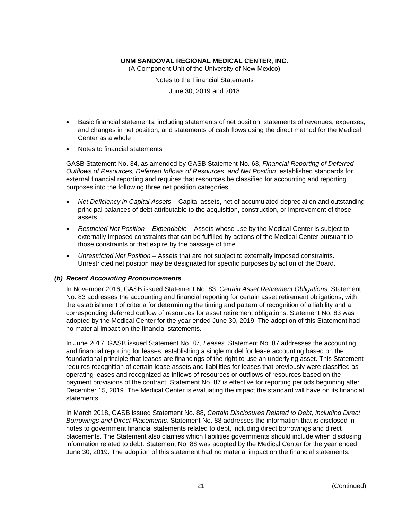(A Component Unit of the University of New Mexico)

Notes to the Financial Statements

June 30, 2019 and 2018

- Basic financial statements, including statements of net position, statements of revenues, expenses, and changes in net position, and statements of cash flows using the direct method for the Medical Center as a whole
- Notes to financial statements

GASB Statement No. 34, as amended by GASB Statement No. 63, *Financial Reporting of Deferred Outflows of Resources, Deferred Inflows of Resources, and Net Position*, established standards for external financial reporting and requires that resources be classified for accounting and reporting purposes into the following three net position categories:

- *Net Deficiency in Capital Assets* Capital assets, net of accumulated depreciation and outstanding principal balances of debt attributable to the acquisition, construction, or improvement of those assets.
- *Restricted Net Position – Expendable* Assets whose use by the Medical Center is subject to externally imposed constraints that can be fulfilled by actions of the Medical Center pursuant to those constraints or that expire by the passage of time.
- *Unrestricted Net Position* Assets that are not subject to externally imposed constraints. Unrestricted net position may be designated for specific purposes by action of the Board.

#### *(b) Recent Accounting Pronouncements*

In November 2016, GASB issued Statement No. 83, *Certain Asset Retirement Obligations*. Statement No. 83 addresses the accounting and financial reporting for certain asset retirement obligations, with the establishment of criteria for determining the timing and pattern of recognition of a liability and a corresponding deferred outflow of resources for asset retirement obligations. Statement No. 83 was adopted by the Medical Center for the year ended June 30, 2019. The adoption of this Statement had no material impact on the financial statements.

In June 2017, GASB issued Statement No. 87, *Leases*. Statement No. 87 addresses the accounting and financial reporting for leases, establishing a single model for lease accounting based on the foundational principle that leases are financings of the right to use an underlying asset. This Statement requires recognition of certain lease assets and liabilities for leases that previously were classified as operating leases and recognized as inflows of resources or outflows of resources based on the payment provisions of the contract. Statement No. 87 is effective for reporting periods beginning after December 15, 2019. The Medical Center is evaluating the impact the standard will have on its financial statements.

In March 2018, GASB issued Statement No. 88, *Certain Disclosures Related to Debt, including Direct Borrowings and Direct Placements*. Statement No. 88 addresses the information that is disclosed in notes to government financial statements related to debt, including direct borrowings and direct placements. The Statement also clarifies which liabilities governments should include when disclosing information related to debt. Statement No. 88 was adopted by the Medical Center for the year ended June 30, 2019. The adoption of this statement had no material impact on the financial statements.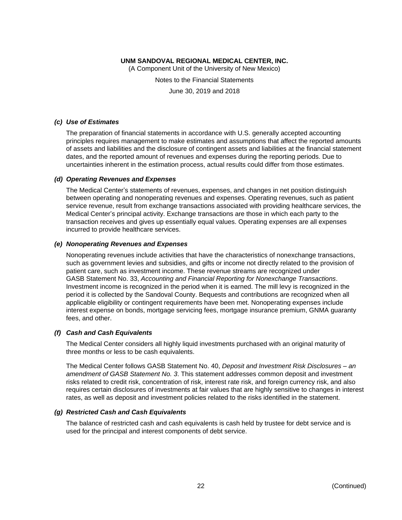(A Component Unit of the University of New Mexico)

Notes to the Financial Statements

June 30, 2019 and 2018

#### *(c) Use of Estimates*

The preparation of financial statements in accordance with U.S. generally accepted accounting principles requires management to make estimates and assumptions that affect the reported amounts of assets and liabilities and the disclosure of contingent assets and liabilities at the financial statement dates, and the reported amount of revenues and expenses during the reporting periods. Due to uncertainties inherent in the estimation process, actual results could differ from those estimates.

#### *(d) Operating Revenues and Expenses*

The Medical Center's statements of revenues, expenses, and changes in net position distinguish between operating and nonoperating revenues and expenses. Operating revenues, such as patient service revenue, result from exchange transactions associated with providing healthcare services, the Medical Center's principal activity. Exchange transactions are those in which each party to the transaction receives and gives up essentially equal values. Operating expenses are all expenses incurred to provide healthcare services.

#### *(e) Nonoperating Revenues and Expenses*

Nonoperating revenues include activities that have the characteristics of nonexchange transactions, such as government levies and subsidies, and gifts or income not directly related to the provision of patient care, such as investment income. These revenue streams are recognized under GASB Statement No. 33, *Accounting and Financial Reporting for Nonexchange Transactions*. Investment income is recognized in the period when it is earned. The mill levy is recognized in the period it is collected by the Sandoval County. Bequests and contributions are recognized when all applicable eligibility or contingent requirements have been met. Nonoperating expenses include interest expense on bonds, mortgage servicing fees, mortgage insurance premium, GNMA guaranty fees, and other.

#### *(f) Cash and Cash Equivalents*

The Medical Center considers all highly liquid investments purchased with an original maturity of three months or less to be cash equivalents.

The Medical Center follows GASB Statement No. 40, *Deposit and Investment Risk Disclosures – an amendment of GASB Statement No. 3*. This statement addresses common deposit and investment risks related to credit risk, concentration of risk, interest rate risk, and foreign currency risk, and also requires certain disclosures of investments at fair values that are highly sensitive to changes in interest rates, as well as deposit and investment policies related to the risks identified in the statement.

#### *(g) Restricted Cash and Cash Equivalents*

The balance of restricted cash and cash equivalents is cash held by trustee for debt service and is used for the principal and interest components of debt service.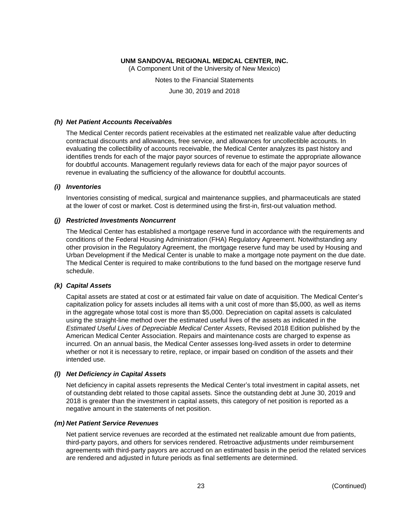(A Component Unit of the University of New Mexico)

Notes to the Financial Statements

June 30, 2019 and 2018

#### *(h) Net Patient Accounts Receivables*

The Medical Center records patient receivables at the estimated net realizable value after deducting contractual discounts and allowances, free service, and allowances for uncollectible accounts. In evaluating the collectibility of accounts receivable, the Medical Center analyzes its past history and identifies trends for each of the major payor sources of revenue to estimate the appropriate allowance for doubtful accounts. Management regularly reviews data for each of the major payor sources of revenue in evaluating the sufficiency of the allowance for doubtful accounts.

#### *(i) Inventories*

Inventories consisting of medical, surgical and maintenance supplies, and pharmaceuticals are stated at the lower of cost or market. Cost is determined using the first-in, first-out valuation method.

#### *(j) Restricted Investments Noncurrent*

The Medical Center has established a mortgage reserve fund in accordance with the requirements and conditions of the Federal Housing Administration (FHA) Regulatory Agreement. Notwithstanding any other provision in the Regulatory Agreement, the mortgage reserve fund may be used by Housing and Urban Development if the Medical Center is unable to make a mortgage note payment on the due date. The Medical Center is required to make contributions to the fund based on the mortgage reserve fund schedule.

### *(k) Capital Assets*

Capital assets are stated at cost or at estimated fair value on date of acquisition. The Medical Center's capitalization policy for assets includes all items with a unit cost of more than \$5,000, as well as items in the aggregate whose total cost is more than \$5,000. Depreciation on capital assets is calculated using the straight-line method over the estimated useful lives of the assets as indicated in the *Estimated Useful Lives of Depreciable Medical Center Assets*, Revised 2018 Edition published by the American Medical Center Association. Repairs and maintenance costs are charged to expense as incurred. On an annual basis, the Medical Center assesses long-lived assets in order to determine whether or not it is necessary to retire, replace, or impair based on condition of the assets and their intended use.

#### *(l) Net Deficiency in Capital Assets*

Net deficiency in capital assets represents the Medical Center's total investment in capital assets, net of outstanding debt related to those capital assets. Since the outstanding debt at June 30, 2019 and 2018 is greater than the investment in capital assets, this category of net position is reported as a negative amount in the statements of net position.

#### *(m) Net Patient Service Revenues*

Net patient service revenues are recorded at the estimated net realizable amount due from patients, third-party payors, and others for services rendered. Retroactive adjustments under reimbursement agreements with third-party payors are accrued on an estimated basis in the period the related services are rendered and adjusted in future periods as final settlements are determined.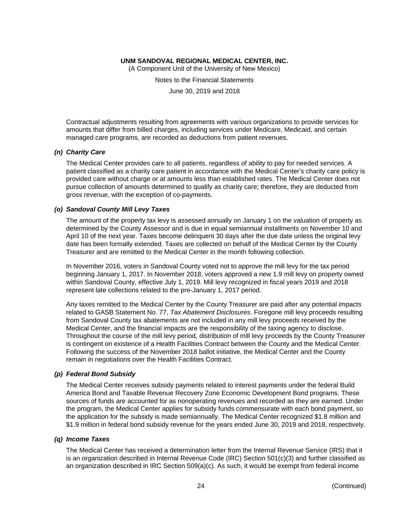(A Component Unit of the University of New Mexico)

Notes to the Financial Statements

June 30, 2019 and 2018

Contractual adjustments resulting from agreements with various organizations to provide services for amounts that differ from billed charges, including services under Medicare, Medicaid, and certain managed care programs, are recorded as deductions from patient revenues.

#### *(n) Charity Care*

The Medical Center provides care to all patients, regardless of ability to pay for needed services. A patient classified as a charity care patient in accordance with the Medical Center's charity care policy is provided care without charge or at amounts less than established rates. The Medical Center does not pursue collection of amounts determined to qualify as charity care; therefore, they are deducted from gross revenue, with the exception of co-payments.

#### *(o) Sandoval County Mill Levy Taxes*

The amount of the property tax levy is assessed annually on January 1 on the valuation of property as determined by the County Assessor and is due in equal semiannual installments on November 10 and April 10 of the next year. Taxes become delinquent 30 days after the due date unless the original levy date has been formally extended. Taxes are collected on behalf of the Medical Center by the County Treasurer and are remitted to the Medical Center in the month following collection.

In November 2016, voters in Sandoval County voted not to approve the mill levy for the tax period beginning January 1, 2017. In November 2018, voters approved a new 1.9 mill levy on property owned within Sandoval County, effective July 1, 2019. Mill levy recognized in fiscal years 2019 and 2018 represent late collections related to the pre-January 1, 2017 period.

Any taxes remitted to the Medical Center by the County Treasurer are paid after any potential impacts related to GASB Statement No. 77, *Tax Abatement Disclosures*. Foregone mill levy proceeds resulting from Sandoval County tax abatements are not included in any mill levy proceeds received by the Medical Center, and the financial impacts are the responsibility of the taxing agency to disclose. Throughout the course of the mill levy period, distribution of mill levy proceeds by the County Treasurer is contingent on existence of a Health Facilities Contract between the County and the Medical Center. Following the success of the November 2018 ballot initiative, the Medical Center and the County remain in negotiations over the Health Facilities Contract.

#### *(p) Federal Bond Subsidy*

The Medical Center receives subsidy payments related to interest payments under the federal Build America Bond and Taxable Revenue Recovery Zone Economic Development Bond programs. These sources of funds are accounted for as nonoperating revenues and recorded as they are earned. Under the program, the Medical Center applies for subsidy funds commensurate with each bond payment, so the application for the subsidy is made semiannually. The Medical Center recognized \$1.8 million and \$1.9 million in federal bond subsidy revenue for the years ended June 30, 2019 and 2018, respectively.

#### *(q) Income Taxes*

The Medical Center has received a determination letter from the Internal Revenue Service (IRS) that it is an organization described in Internal Revenue Code (IRC) Section 501(c)(3) and further classified as an organization described in IRC Section 509(a)(c). As such, it would be exempt from federal income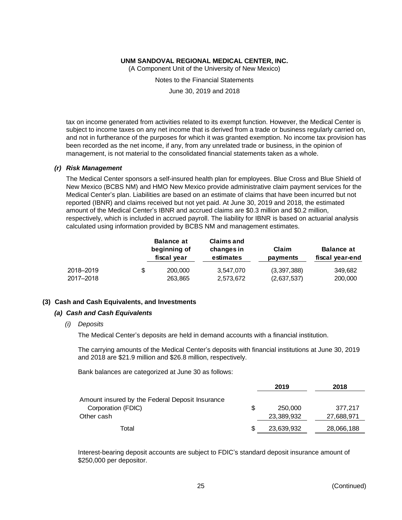(A Component Unit of the University of New Mexico)

Notes to the Financial Statements

June 30, 2019 and 2018

tax on income generated from activities related to its exempt function. However, the Medical Center is subject to income taxes on any net income that is derived from a trade or business regularly carried on, and not in furtherance of the purposes for which it was granted exemption. No income tax provision has been recorded as the net income, if any, from any unrelated trade or business, in the opinion of management, is not material to the consolidated financial statements taken as a whole.

#### *(r) Risk Management*

The Medical Center sponsors a self-insured health plan for employees. Blue Cross and Blue Shield of New Mexico (BCBS NM) and HMO New Mexico provide administrative claim payment services for the Medical Center's plan. Liabilities are based on an estimate of claims that have been incurred but not reported (IBNR) and claims received but not yet paid. At June 30, 2019 and 2018, the estimated amount of the Medical Center's IBNR and accrued claims are \$0.3 million and \$0.2 million, respectively, which is included in accrued payroll. The liability for IBNR is based on actuarial analysis calculated using information provided by BCBS NM and management estimates.

|           |  | <b>Balance at</b><br>beginning of<br>fiscal year | <b>Claims and</b><br>changes in<br>estimates | Claim<br>payments | <b>Balance at</b><br>fiscal year-end |
|-----------|--|--------------------------------------------------|----------------------------------------------|-------------------|--------------------------------------|
| 2018-2019 |  | 200,000                                          | 3.547.070                                    | (3,397,388)       | 349,682                              |
| 2017-2018 |  | 263,865                                          | 2,573,672                                    | (2,637,537)       | 200,000                              |

#### **(3) Cash and Cash Equivalents, and Investments**

#### *(a) Cash and Cash Equivalents*

*(i) Deposits*

The Medical Center's deposits are held in demand accounts with a financial institution.

The carrying amounts of the Medical Center's deposits with financial institutions at June 30, 2019 and 2018 are \$21.9 million and \$26.8 million, respectively.

Bank balances are categorized at June 30 as follows:

|                                                 | 2019       | 2018       |
|-------------------------------------------------|------------|------------|
| Amount insured by the Federal Deposit Insurance |            |            |
| Corporation (FDIC)                              | 250,000    | 377.217    |
| Other cash                                      | 23,389,932 | 27,688,971 |
| Total                                           | 23,639,932 | 28,066,188 |

Interest-bearing deposit accounts are subject to FDIC's standard deposit insurance amount of \$250,000 per depositor.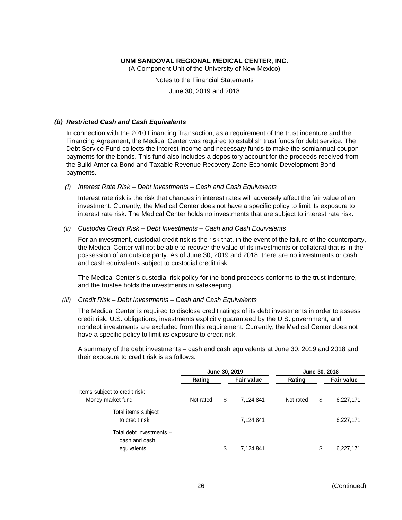(A Component Unit of the University of New Mexico)

Notes to the Financial Statements

June 30, 2019 and 2018

#### *(b) Restricted Cash and Cash Equivalents*

In connection with the 2010 Financing Transaction, as a requirement of the trust indenture and the Financing Agreement, the Medical Center was required to establish trust funds for debt service. The Debt Service Fund collects the interest income and necessary funds to make the semiannual coupon payments for the bonds. This fund also includes a depository account for the proceeds received from the Build America Bond and Taxable Revenue Recovery Zone Economic Development Bond payments.

*(i) Interest Rate Risk – Debt Investments – Cash and Cash Equivalents*

Interest rate risk is the risk that changes in interest rates will adversely affect the fair value of an investment. Currently, the Medical Center does not have a specific policy to limit its exposure to interest rate risk. The Medical Center holds no investments that are subject to interest rate risk.

*(ii) Custodial Credit Risk – Debt Investments – Cash and Cash Equivalents*

For an investment, custodial credit risk is the risk that, in the event of the failure of the counterparty, the Medical Center will not be able to recover the value of its investments or collateral that is in the possession of an outside party. As of June 30, 2019 and 2018, there are no investments or cash and cash equivalents subject to custodial credit risk.

The Medical Center's custodial risk policy for the bond proceeds conforms to the trust indenture, and the trustee holds the investments in safekeeping.

#### *(iii) Credit Risk – Debt Investments – Cash and Cash Equivalents*

The Medical Center is required to disclose credit ratings of its debt investments in order to assess credit risk. U.S. obligations, investments explicitly guaranteed by the U.S. government, and nondebt investments are excluded from this requirement. Currently, the Medical Center does not have a specific policy to limit its exposure to credit risk.

A summary of the debt investments – cash and cash equivalents at June 30, 2019 and 2018 and their exposure to credit risk is as follows:

|                                           | June 30, 2019 |    |                   | June 30, 2018 |   |            |
|-------------------------------------------|---------------|----|-------------------|---------------|---|------------|
|                                           | Rating        |    | <b>Fair value</b> | Rating        |   | Fair value |
| Items subject to credit risk:             |               |    |                   |               |   |            |
| Money market fund                         | Not rated     | \$ | 7,124,841         | Not rated     | S | 6,227,171  |
| Total items subject<br>to credit risk     |               |    | 7,124,841         |               |   | 6,227,171  |
| Total debt investments -<br>cash and cash |               |    |                   |               |   |            |
| equivalents                               |               | \$ | 7,124,841         |               |   | 6,227,171  |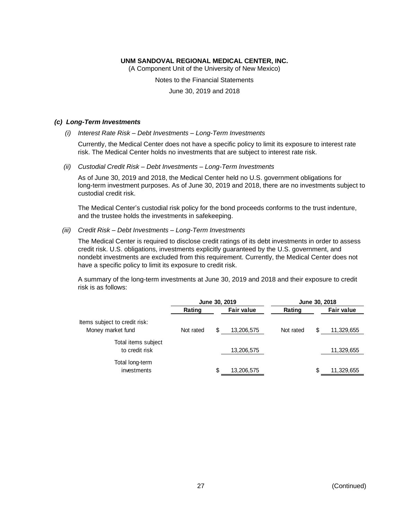(A Component Unit of the University of New Mexico)

Notes to the Financial Statements

June 30, 2019 and 2018

#### *(c) Long-Term Investments*

*(i) Interest Rate Risk – Debt Investments – Long-Term Investments*

Currently, the Medical Center does not have a specific policy to limit its exposure to interest rate risk. The Medical Center holds no investments that are subject to interest rate risk.

*(ii) Custodial Credit Risk – Debt Investments – Long-Term Investments*

As of June 30, 2019 and 2018, the Medical Center held no U.S. government obligations for long-term investment purposes. As of June 30, 2019 and 2018, there are no investments subject to custodial credit risk.

The Medical Center's custodial risk policy for the bond proceeds conforms to the trust indenture, and the trustee holds the investments in safekeeping.

*(iii) Credit Risk – Debt Investments – Long-Term Investments*

The Medical Center is required to disclose credit ratings of its debt investments in order to assess credit risk. U.S. obligations, investments explicitly guaranteed by the U.S. government, and nondebt investments are excluded from this requirement. Currently, the Medical Center does not have a specific policy to limit its exposure to credit risk.

A summary of the long-term investments at June 30, 2019 and 2018 and their exposure to credit risk is as follows:

|                               | June 30, 2019 |    |                   | June 30, 2018 |    |                   |  |
|-------------------------------|---------------|----|-------------------|---------------|----|-------------------|--|
|                               | Rating        |    | <b>Fair value</b> | Rating        |    | <b>Fair value</b> |  |
| Items subject to credit risk: |               |    |                   |               |    |                   |  |
| Money market fund             | Not rated     | \$ | 13,206,575        | Not rated     | S  | 11,329,655        |  |
| Total items subject           |               |    |                   |               |    |                   |  |
| to credit risk                |               |    | 13,206,575        |               |    | 11,329,655        |  |
| Total long-term               |               |    |                   |               |    |                   |  |
| investments                   |               | \$ | 13,206,575        |               | \$ | 11,329,655        |  |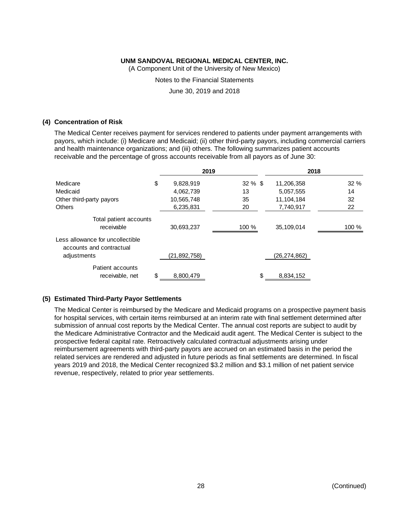(A Component Unit of the University of New Mexico)

#### Notes to the Financial Statements

June 30, 2019 and 2018

#### **(4) Concentration of Risk**

The Medical Center receives payment for services rendered to patients under payment arrangements with payors, which include: (i) Medicare and Medicaid; (ii) other third-party payors, including commercial carriers and health maintenance organizations; and (iii) others. The following summarizes patient accounts receivable and the percentage of gross accounts receivable from all payors as of June 30:

|                        |              |                         | 2018                |                         |
|------------------------|--------------|-------------------------|---------------------|-------------------------|
| \$                     | 9,828,919    | $32 \%$ \$              | 11,206,358          | 32%                     |
|                        | 4,062,739    | 13                      | 5,057,555           | 14                      |
|                        | 10,565,748   | 35                      | 11,104,184          | 32                      |
|                        | 6,235,831    | 20                      | 7,740,917           | 22                      |
| Total patient accounts |              |                         |                     | 100 %                   |
|                        |              |                         |                     |                         |
|                        |              |                         |                     |                         |
|                        | (21,892,758) |                         | (26,274,862)        |                         |
|                        |              |                         |                     |                         |
|                        | \$           | 30,693,237<br>8.800.479 | 2019<br>100 %<br>\$ | 35,109,014<br>8.834.152 |

#### **(5) Estimated Third-Party Payor Settlements**

The Medical Center is reimbursed by the Medicare and Medicaid programs on a prospective payment basis for hospital services, with certain items reimbursed at an interim rate with final settlement determined after submission of annual cost reports by the Medical Center. The annual cost reports are subject to audit by the Medicare Administrative Contractor and the Medicaid audit agent. The Medical Center is subject to the prospective federal capital rate. Retroactively calculated contractual adjustments arising under reimbursement agreements with third-party payors are accrued on an estimated basis in the period the related services are rendered and adjusted in future periods as final settlements are determined. In fiscal years 2019 and 2018, the Medical Center recognized \$3.2 million and \$3.1 million of net patient service revenue, respectively, related to prior year settlements.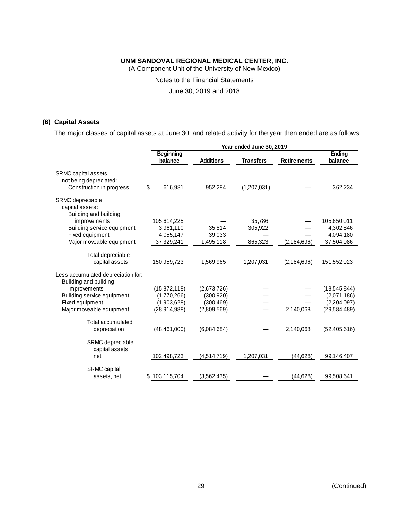(A Component Unit of the University of New Mexico)

Notes to the Financial Statements

June 30, 2019 and 2018

#### **(6) Capital Assets**

The major classes of capital assets at June 30, and related activity for the year then ended are as follows:

|                                                                           |                             | Year ended June 30, 2019 |                  |                    |                          |  |  |
|---------------------------------------------------------------------------|-----------------------------|--------------------------|------------------|--------------------|--------------------------|--|--|
|                                                                           | <b>Beginning</b><br>balance | <b>Additions</b>         | <b>Transfers</b> | <b>Retirements</b> | <b>Ending</b><br>balance |  |  |
| SRMC capital assets<br>not being depreciated:<br>Construction in progress | \$<br>616,981               | 952,284                  | (1,207,031)      |                    | 362,234                  |  |  |
| SRMC depreciable<br>capital assets:<br>Building and building              |                             |                          |                  |                    |                          |  |  |
| improvements                                                              | 105,614,225                 |                          | 35,786           |                    | 105,650,011              |  |  |
| Building service equipment                                                | 3,961,110                   | 35.814                   | 305,922          |                    | 4,302,846                |  |  |
| Fixed equipment                                                           | 4,055,147                   | 39,033                   |                  |                    | 4,094,180                |  |  |
| Major moveable equipment                                                  | 37,329,241                  | 1,495,118                | 865,323          | (2, 184, 696)      | 37,504,986               |  |  |
| Total depreciable<br>capital assets                                       | 150,959,723                 | 1,569,965                | 1,207,031        | (2, 184, 696)      | 151,552,023              |  |  |
| Less accumulated depreciation for:<br>Building and building               |                             |                          |                  |                    |                          |  |  |
| improvements                                                              | (15,872,118)                | (2,673,726)              |                  |                    | (18, 545, 844)           |  |  |
| Building service equipment                                                | (1,770,266)                 | (300, 920)               |                  |                    | (2,071,186)              |  |  |
| Fixed equipment                                                           | (1,903,628)                 | (300, 469)               |                  |                    | (2,204,097)              |  |  |
| Major moveable equipment                                                  | (28,914,988)                | (2,809,569)              |                  | 2,140,068          | (29,584,489)             |  |  |
| Total accumulated<br>depreciation                                         | (48, 461, 000)              | (6,084,684)              |                  | 2,140,068          | (52, 405, 616)           |  |  |
| SRMC depreciable<br>capital assets,                                       |                             |                          |                  |                    |                          |  |  |
| net                                                                       | 102,498,723                 | (4,514,719)              | 1,207,031        | (44,628)           | 99,146,407               |  |  |
| <b>SRMC</b> capital<br>assets, net                                        | \$103,115,704               | (3, 562, 435)            |                  | (44, 628)          | 99,508,641               |  |  |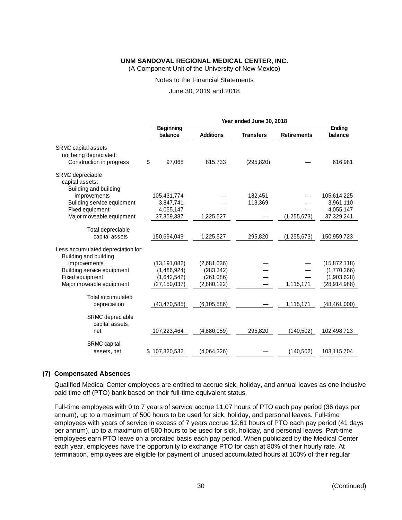(A Component Unit of the University of New Mexico)

#### Notes to the Financial Statements

June 30, 2019 and 2018

|                                                                           | Year ended June 30, 2018    |                  |                  |                    |                          |  |  |
|---------------------------------------------------------------------------|-----------------------------|------------------|------------------|--------------------|--------------------------|--|--|
|                                                                           | <b>Beginning</b><br>balance | <b>Additions</b> | <b>Transfers</b> | <b>Retirements</b> | <b>Ending</b><br>balance |  |  |
| SRMC capital assets<br>not being depreciated:<br>Construction in progress | \$<br>97,068                | 815,733          | (295, 820)       |                    | 616,981                  |  |  |
| SRMC depreciable<br>capital assets:<br>Building and building              |                             |                  |                  |                    |                          |  |  |
| improvements                                                              | 105,431,774                 |                  | 182,451          |                    | 105,614,225              |  |  |
| Building service equipment                                                | 3,847,741                   |                  | 113,369          |                    | 3,961,110                |  |  |
| Fixed equipment                                                           | 4,055,147                   |                  |                  |                    | 4,055,147                |  |  |
| Major moveable equipment                                                  | 37,359,387                  | 1,225,527        |                  | (1,255,673)        | 37,329,241               |  |  |
| Total depreciable<br>capital assets                                       | 150,694,049                 | 1,225,527        | 295,820          | (1,255,673)        | 150,959,723              |  |  |
| Less accumulated depreciation for:<br>Building and building               |                             |                  |                  |                    |                          |  |  |
| improvements                                                              | (13, 191, 082)              | (2,681,036)      |                  |                    | (15,872,118)             |  |  |
| Building service equipment                                                | (1,486,924)                 | (283, 342)       |                  |                    | (1,770,266)              |  |  |
| Fixed equipment                                                           | (1,642,542)                 | (261,086)        |                  |                    | (1,903,628)              |  |  |
| Major moveable equipment                                                  | (27, 150, 037)              | (2,880,122)      |                  | 1,115,171          | (28, 914, 988)           |  |  |
| Total accumulated<br>depreciation                                         | (43, 470, 585)              | (6, 105, 586)    |                  | 1,115,171          | (48, 461, 000)           |  |  |
|                                                                           |                             |                  |                  |                    |                          |  |  |
| SRMC depreciable<br>capital assets,<br>net                                | 107,223,464                 | (4,880,059)      | 295,820          | (140, 502)         | 102,498,723              |  |  |
| SRMC capital<br>assets, net                                               | \$107,320,532               | (4,064,326)      |                  | (140, 502)         | 103,115,704              |  |  |

#### **(7) Compensated Absences**

Qualified Medical Center employees are entitled to accrue sick, holiday, and annual leaves as one inclusive paid time off (PTO) bank based on their full-time equivalent status.

Full-time employees with 0 to 7 years of service accrue 11.07 hours of PTO each pay period (36 days per annum), up to a maximum of 500 hours to be used for sick, holiday, and personal leaves. Full-time employees with years of service in excess of 7 years accrue 12.61 hours of PTO each pay period (41 days per annum), up to a maximum of 500 hours to be used for sick, holiday, and personal leaves. Part-time employees earn PTO leave on a prorated basis each pay period. When publicized by the Medical Center each year, employees have the opportunity to exchange PTO for cash at 80% of their hourly rate. At termination, employees are eligible for payment of unused accumulated hours at 100% of their regular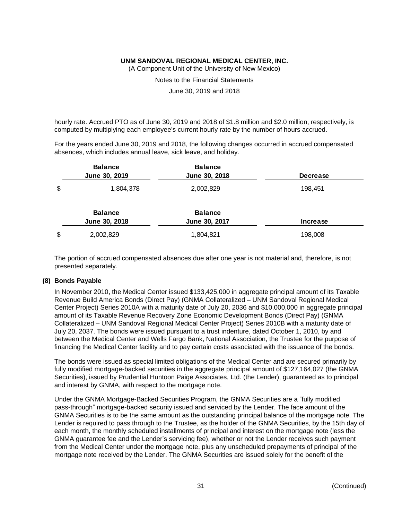(A Component Unit of the University of New Mexico)

Notes to the Financial Statements

June 30, 2019 and 2018

hourly rate. Accrued PTO as of June 30, 2019 and 2018 of \$1.8 million and \$2.0 million, respectively, is computed by multiplying each employee's current hourly rate by the number of hours accrued.

For the years ended June 30, 2019 and 2018, the following changes occurred in accrued compensated absences, which includes annual leave, sick leave, and holiday.

| <b>Balance</b><br>June 30, 2019 | <b>Balance</b><br>June 30, 2018 | <b>Decrease</b> |
|---------------------------------|---------------------------------|-----------------|
| \$<br>1,804,378                 | 2,002,829                       | 198,451         |
| <b>Balance</b><br>June 30, 2018 | <b>Balance</b><br>June 30, 2017 | Increase        |
| \$<br>2,002,829                 | 1,804,821                       | 198,008         |

The portion of accrued compensated absences due after one year is not material and, therefore, is not presented separately.

#### **(8) Bonds Payable**

In November 2010, the Medical Center issued \$133,425,000 in aggregate principal amount of its Taxable Revenue Build America Bonds (Direct Pay) (GNMA Collateralized – UNM Sandoval Regional Medical Center Project) Series 2010A with a maturity date of July 20, 2036 and \$10,000,000 in aggregate principal amount of its Taxable Revenue Recovery Zone Economic Development Bonds (Direct Pay) (GNMA Collateralized – UNM Sandoval Regional Medical Center Project) Series 2010B with a maturity date of July 20, 2037. The bonds were issued pursuant to a trust indenture, dated October 1, 2010, by and between the Medical Center and Wells Fargo Bank, National Association, the Trustee for the purpose of financing the Medical Center facility and to pay certain costs associated with the issuance of the bonds.

The bonds were issued as special limited obligations of the Medical Center and are secured primarily by fully modified mortgage-backed securities in the aggregate principal amount of \$127,164,027 (the GNMA Securities), issued by Prudential Huntoon Paige Associates, Ltd. (the Lender), guaranteed as to principal and interest by GNMA, with respect to the mortgage note.

Under the GNMA Mortgage-Backed Securities Program, the GNMA Securities are a "fully modified pass-through" mortgage-backed security issued and serviced by the Lender. The face amount of the GNMA Securities is to be the same amount as the outstanding principal balance of the mortgage note. The Lender is required to pass through to the Trustee, as the holder of the GNMA Securities, by the 15th day of each month, the monthly scheduled installments of principal and interest on the mortgage note (less the GNMA guarantee fee and the Lender's servicing fee), whether or not the Lender receives such payment from the Medical Center under the mortgage note, plus any unscheduled prepayments of principal of the mortgage note received by the Lender. The GNMA Securities are issued solely for the benefit of the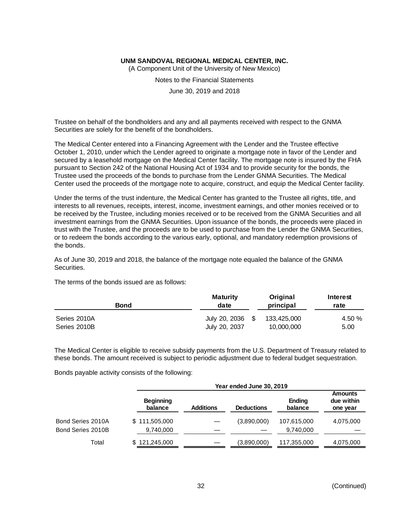(A Component Unit of the University of New Mexico)

Notes to the Financial Statements

June 30, 2019 and 2018

Trustee on behalf of the bondholders and any and all payments received with respect to the GNMA Securities are solely for the benefit of the bondholders.

The Medical Center entered into a Financing Agreement with the Lender and the Trustee effective October 1, 2010, under which the Lender agreed to originate a mortgage note in favor of the Lender and secured by a leasehold mortgage on the Medical Center facility. The mortgage note is insured by the FHA pursuant to Section 242 of the National Housing Act of 1934 and to provide security for the bonds, the Trustee used the proceeds of the bonds to purchase from the Lender GNMA Securities. The Medical Center used the proceeds of the mortgage note to acquire, construct, and equip the Medical Center facility.

Under the terms of the trust indenture, the Medical Center has granted to the Trustee all rights, title, and interests to all revenues, receipts, interest, income, investment earnings, and other monies received or to be received by the Trustee, including monies received or to be received from the GNMA Securities and all investment earnings from the GNMA Securities. Upon issuance of the bonds, the proceeds were placed in trust with the Trustee, and the proceeds are to be used to purchase from the Lender the GNMA Securities, or to redeem the bonds according to the various early, optional, and mandatory redemption provisions of the bonds.

As of June 30, 2019 and 2018, the balance of the mortgage note equaled the balance of the GNMA Securities.

The terms of the bonds issued are as follows:

| Bond         | <b>Maturity</b><br>date | Original<br>principal | Interest<br>rate |
|--------------|-------------------------|-----------------------|------------------|
| Series 2010A | July 20, 2036           | 133.425.000           | 4.50 %           |
| Series 2010B | July 20, 2037           | 10,000,000            | 5.00             |

The Medical Center is eligible to receive subsidy payments from the U.S. Department of Treasury related to these bonds. The amount received is subject to periodic adjustment due to federal budget sequestration.

Bonds payable activity consists of the following:

|                   |                             | Year ended June 30, 2019 |                   |                          |                                          |  |  |  |  |
|-------------------|-----------------------------|--------------------------|-------------------|--------------------------|------------------------------------------|--|--|--|--|
|                   | <b>Beginning</b><br>balance | <b>Additions</b>         | <b>Deductions</b> | <b>Ending</b><br>balance | <b>Amounts</b><br>due within<br>one year |  |  |  |  |
| Bond Series 2010A | \$111,505,000               |                          | (3,890,000)       | 107,615,000              | 4,075,000                                |  |  |  |  |
| Bond Series 2010B | 9,740,000                   |                          |                   | 9,740,000                |                                          |  |  |  |  |
| Total             | \$121,245,000               |                          | (3,890,000)       | 117,355,000              | 4,075,000                                |  |  |  |  |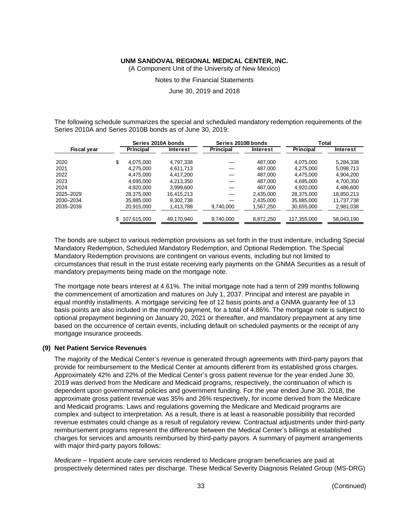(A Component Unit of the University of New Mexico)

Notes to the Financial Statements

June 30, 2019 and 2018

The following schedule summarizes the special and scheduled mandatory redemption requirements of the Series 2010A and Series 2010B bonds as of June 30, 2019:

|                    | Series 2010A bonds |                 | Series 2010B bonds |                 | Total       |                 |  |
|--------------------|--------------------|-----------------|--------------------|-----------------|-------------|-----------------|--|
| <b>Fiscal year</b> | <b>Principal</b>   | <b>Interest</b> | Principal          | <b>Interest</b> |             | <b>Interest</b> |  |
| 2020               | \$<br>4.075.000    | 4,797,338       |                    | 487.000         | 4,075,000   | 5,284,338       |  |
| 2021               | 4,275,000          | 4,611,713       |                    | 487.000         | 4,275,000   | 5,098,713       |  |
| 2022               | 4,475,000          | 4,417,200       |                    | 487,000         | 4,475,000   | 4,904,200       |  |
| 2023               | 4,695,000          | 4,213,350       |                    | 487.000         | 4,695,000   | 4,700,350       |  |
| 2024               | 4.920.000          | 3.999.600       |                    | 487.000         | 4.920.000   | 4.486.600       |  |
| 2025-2029          | 28,375,000         | 16,415,213      |                    | 2,435,000       | 28,375,000  | 18,850,213      |  |
| 2030-2034          | 35,885,000         | 9.302.738       |                    | 2.435.000       | 35,885,000  | 11,737,738      |  |
| 2035-2039          | 20,915,000         | 1,413,788       | 9,740,000          | 1,567,250       | 30,655,000  | 2,981,038       |  |
|                    | 107,615,000        | 49,170,940      | 9,740,000          | 8,872,250       | 117,355,000 | 58,043,190      |  |

The bonds are subject to various redemption provisions as set forth in the trust indenture, including Special Mandatory Redemption, Scheduled Mandatory Redemption, and Optional Redemption. The Special Mandatory Redemption provisions are contingent on various events, including but not limited to circumstances that result in the trust estate receiving early payments on the GNMA Securities as a result of mandatory prepayments being made on the mortgage note.

The mortgage note bears interest at 4.61%. The initial mortgage note had a term of 299 months following the commencement of amortization and matures on July 1, 2037. Principal and interest are payable in equal monthly installments. A mortgage servicing fee of 12 basis points and a GNMA guaranty fee of 13 basis points are also included in the monthly payment, for a total of 4.86%. The mortgage note is subject to optional prepayment beginning on January 20, 2021 or thereafter, and mandatory prepayment at any time based on the occurrence of certain events, including default on scheduled payments or the receipt of any mortgage insurance proceeds.

#### **(9) Net Patient Service Revenues**

The majority of the Medical Center's revenue is generated through agreements with third-party payors that provide for reimbursement to the Medical Center at amounts different from its established gross charges. Approximately 42% and 22% of the Medical Center's gross patient revenue for the year ended June 30, 2019 was derived from the Medicare and Medicaid programs, respectively, the continuation of which is dependent upon governmental policies and government funding. For the year ended June 30, 2018, the approximate gross patient revenue was 35% and 26% respectively, for income derived from the Medicare and Medicaid programs. Laws and regulations governing the Medicare and Medicaid programs are complex and subject to interpretation. As a result, there is at least a reasonable possibility that recorded revenue estimates could change as a result of regulatory review. Contractual adjustments under third-party reimbursement programs represent the difference between the Medical Center's billings at established charges for services and amounts reimbursed by third-party payors. A summary of payment arrangements with major third-party payors follows:

*Medicare* – Inpatient acute care services rendered to Medicare program beneficiaries are paid at prospectively determined rates per discharge. These Medical Severity Diagnosis Related Group (MS-DRG)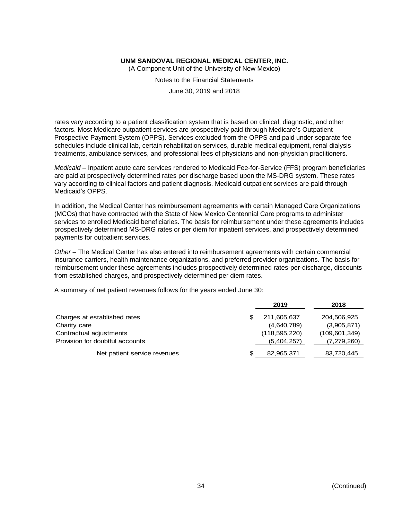(A Component Unit of the University of New Mexico)

Notes to the Financial Statements

June 30, 2019 and 2018

rates vary according to a patient classification system that is based on clinical, diagnostic, and other factors. Most Medicare outpatient services are prospectively paid through Medicare's Outpatient Prospective Payment System (OPPS). Services excluded from the OPPS and paid under separate fee schedules include clinical lab, certain rehabilitation services, durable medical equipment, renal dialysis treatments, ambulance services, and professional fees of physicians and non-physician practitioners.

*Medicaid* – Inpatient acute care services rendered to Medicaid Fee-for-Service (FFS) program beneficiaries are paid at prospectively determined rates per discharge based upon the MS-DRG system. These rates vary according to clinical factors and patient diagnosis. Medicaid outpatient services are paid through Medicaid's OPPS.

In addition, the Medical Center has reimbursement agreements with certain Managed Care Organizations (MCOs) that have contracted with the State of New Mexico Centennial Care programs to administer services to enrolled Medicaid beneficiaries. The basis for reimbursement under these agreements includes prospectively determined MS-DRG rates or per diem for inpatient services, and prospectively determined payments for outpatient services.

*Other* – The Medical Center has also entered into reimbursement agreements with certain commercial insurance carriers, health maintenance organizations, and preferred provider organizations. The basis for reimbursement under these agreements includes prospectively determined rates-per-discharge, discounts from established charges, and prospectively determined per diem rates.

A summary of net patient revenues follows for the years ended June 30:

|                                 | 2019            | 2018            |
|---------------------------------|-----------------|-----------------|
| Charges at established rates    | 211,605,637     | 204,506,925     |
| Charity care                    | (4,640,789)     | (3,905,871)     |
| Contractual adjustments         | (118, 595, 220) | (109, 601, 349) |
| Provision for doubtful accounts | (5,404,257)     | (7, 279, 260)   |
| Net patient service revenues    | 82,965,371      | 83,720,445      |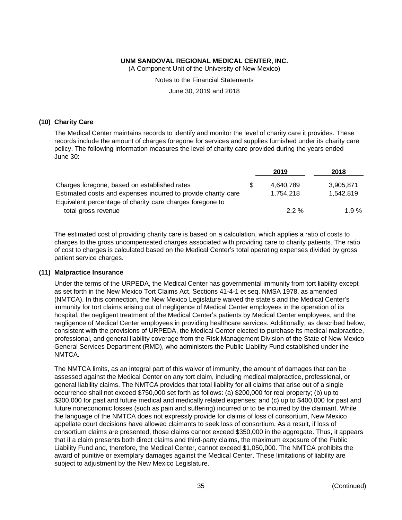(A Component Unit of the University of New Mexico)

#### Notes to the Financial Statements

June 30, 2019 and 2018

#### **(10) Charity Care**

The Medical Center maintains records to identify and monitor the level of charity care it provides. These records include the amount of charges foregone for services and supplies furnished under its charity care policy. The following information measures the level of charity care provided during the years ended June 30:

|                                                               | 2019      | 2018      |
|---------------------------------------------------------------|-----------|-----------|
| Charges foregone, based on established rates                  | 4.640.789 | 3.905.871 |
| Estimated costs and expenses incurred to provide charity care | 1.754.218 | 1.542.819 |
| Equivalent percentage of charity care charges foregone to     |           |           |
| total gross revenue                                           | $2.2 \%$  | $1.9 \%$  |

The estimated cost of providing charity care is based on a calculation, which applies a ratio of costs to charges to the gross uncompensated charges associated with providing care to charity patients. The ratio of cost to charges is calculated based on the Medical Center's total operating expenses divided by gross patient service charges.

#### **(11) Malpractice Insurance**

Under the terms of the URPEDA, the Medical Center has governmental immunity from tort liability except as set forth in the New Mexico Tort Claims Act, Sections 41-4-1 et seq. NMSA 1978, as amended (NMTCA). In this connection, the New Mexico Legislature waived the state's and the Medical Center's immunity for tort claims arising out of negligence of Medical Center employees in the operation of its hospital, the negligent treatment of the Medical Center's patients by Medical Center employees, and the negligence of Medical Center employees in providing healthcare services. Additionally, as described below, consistent with the provisions of URPEDA, the Medical Center elected to purchase its medical malpractice, professional, and general liability coverage from the Risk Management Division of the State of New Mexico General Services Department (RMD), who administers the Public Liability Fund established under the NMTCA.

The NMTCA limits, as an integral part of this waiver of immunity, the amount of damages that can be assessed against the Medical Center on any tort claim, including medical malpractice, professional, or general liability claims. The NMTCA provides that total liability for all claims that arise out of a single occurrence shall not exceed \$750,000 set forth as follows: (a) \$200,000 for real property; (b) up to \$300,000 for past and future medical and medically related expenses; and (c) up to \$400,000 for past and future noneconomic losses (such as pain and suffering) incurred or to be incurred by the claimant. While the language of the NMTCA does not expressly provide for claims of loss of consortium, New Mexico appellate court decisions have allowed claimants to seek loss of consortium. As a result, if loss of consortium claims are presented, those claims cannot exceed \$350,000 in the aggregate. Thus, it appears that if a claim presents both direct claims and third-party claims, the maximum exposure of the Public Liability Fund and, therefore, the Medical Center, cannot exceed \$1,050,000. The NMTCA prohibits the award of punitive or exemplary damages against the Medical Center. These limitations of liability are subject to adjustment by the New Mexico Legislature.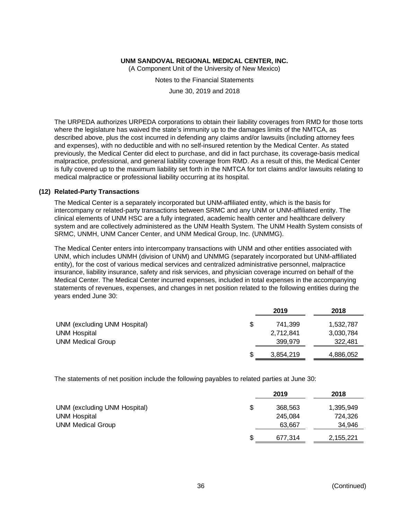(A Component Unit of the University of New Mexico)

Notes to the Financial Statements

June 30, 2019 and 2018

The URPEDA authorizes URPEDA corporations to obtain their liability coverages from RMD for those torts where the legislature has waived the state's immunity up to the damages limits of the NMTCA, as described above, plus the cost incurred in defending any claims and/or lawsuits (including attorney fees and expenses), with no deductible and with no self-insured retention by the Medical Center. As stated previously, the Medical Center did elect to purchase, and did in fact purchase, its coverage-basis medical malpractice, professional, and general liability coverage from RMD. As a result of this, the Medical Center is fully covered up to the maximum liability set forth in the NMTCA for tort claims and/or lawsuits relating to medical malpractice or professional liability occurring at its hospital.

#### **(12) Related-Party Transactions**

The Medical Center is a separately incorporated but UNM-affiliated entity, which is the basis for intercompany or related-party transactions between SRMC and any UNM or UNM-affiliated entity. The clinical elements of UNM HSC are a fully integrated, academic health center and healthcare delivery system and are collectively administered as the UNM Health System. The UNM Health System consists of SRMC, UNMH, UNM Cancer Center, and UNM Medical Group, Inc. (UNMMG).

The Medical Center enters into intercompany transactions with UNM and other entities associated with UNM, which includes UNMH (division of UNM) and UNMMG (separately incorporated but UNM-affiliated entity), for the cost of various medical services and centralized administrative personnel, malpractice insurance, liability insurance, safety and risk services, and physician coverage incurred on behalf of the Medical Center. The Medical Center incurred expenses, included in total expenses in the accompanying statements of revenues, expenses, and changes in net position related to the following entities during the years ended June 30:

|                              |    | 2019      | 2018      |
|------------------------------|----|-----------|-----------|
| UNM (excluding UNM Hospital) | S. | 741.399   | 1,532,787 |
| <b>UNM Hospital</b>          |    | 2,712,841 | 3,030,784 |
| <b>UNM Medical Group</b>     |    | 399,979   | 322,481   |
|                              | \$ | 3,854,219 | 4,886,052 |

The statements of net position include the following payables to related parties at June 30:

|                              | 2019          | 2018      |
|------------------------------|---------------|-----------|
| UNM (excluding UNM Hospital) | \$<br>368,563 | 1,395,949 |
| <b>UNM Hospital</b>          | 245.084       | 724,326   |
| <b>UNM Medical Group</b>     | 63,667        | 34,946    |
|                              | \$<br>677,314 | 2,155,221 |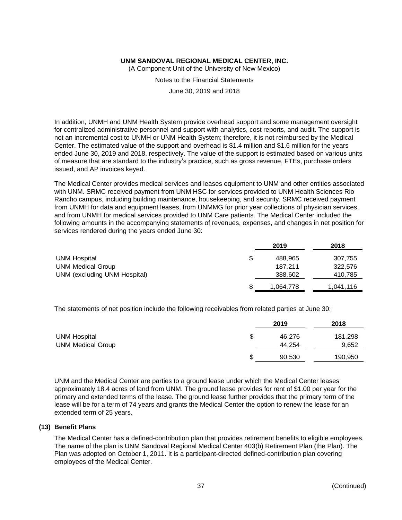(A Component Unit of the University of New Mexico)

Notes to the Financial Statements

June 30, 2019 and 2018

In addition, UNMH and UNM Health System provide overhead support and some management oversight for centralized administrative personnel and support with analytics, cost reports, and audit. The support is not an incremental cost to UNMH or UNM Health System; therefore, it is not reimbursed by the Medical Center. The estimated value of the support and overhead is \$1.4 million and \$1.6 million for the years ended June 30, 2019 and 2018, respectively. The value of the support is estimated based on various units of measure that are standard to the industry's practice, such as gross revenue, FTEs, purchase orders issued, and AP invoices keyed.

The Medical Center provides medical services and leases equipment to UNM and other entities associated with UNM. SRMC received payment from UNM HSC for services provided to UNM Health Sciences Rio Rancho campus, including building maintenance, housekeeping, and security. SRMC received payment from UNMH for data and equipment leases, from UNMMG for prior year collections of physician services, and from UNMH for medical services provided to UNM Care patients. The Medical Center included the following amounts in the accompanying statements of revenues, expenses, and changes in net position for services rendered during the years ended June 30:

|                              |    | 2019      | 2018      |
|------------------------------|----|-----------|-----------|
| <b>UNM Hospital</b>          | \$ | 488,965   | 307,755   |
| <b>UNM Medical Group</b>     |    | 187.211   | 322,576   |
| UNM (excluding UNM Hospital) |    | 388,602   | 410,785   |
|                              | S  | 1,064,778 | 1,041,116 |

The statements of net position include the following receivables from related parties at June 30:

|                          |   | 2019   | 2018    |
|--------------------------|---|--------|---------|
| <b>UNM Hospital</b>      | S | 46.276 | 181,298 |
| <b>UNM Medical Group</b> |   | 44.254 | 9,652   |
|                          |   | 90,530 | 190,950 |

UNM and the Medical Center are parties to a ground lease under which the Medical Center leases approximately 18.4 acres of land from UNM. The ground lease provides for rent of \$1.00 per year for the primary and extended terms of the lease. The ground lease further provides that the primary term of the lease will be for a term of 74 years and grants the Medical Center the option to renew the lease for an extended term of 25 years.

#### **(13) Benefit Plans**

The Medical Center has a defined-contribution plan that provides retirement benefits to eligible employees. The name of the plan is UNM Sandoval Regional Medical Center 403(b) Retirement Plan (the Plan). The Plan was adopted on October 1, 2011. It is a participant-directed defined-contribution plan covering employees of the Medical Center.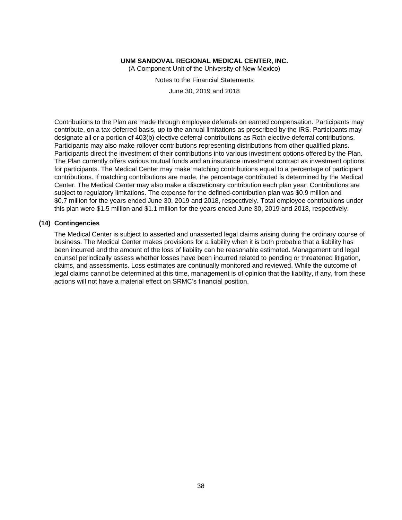(A Component Unit of the University of New Mexico)

Notes to the Financial Statements

June 30, 2019 and 2018

Contributions to the Plan are made through employee deferrals on earned compensation. Participants may contribute, on a tax-deferred basis, up to the annual limitations as prescribed by the IRS. Participants may designate all or a portion of 403(b) elective deferral contributions as Roth elective deferral contributions. Participants may also make rollover contributions representing distributions from other qualified plans. Participants direct the investment of their contributions into various investment options offered by the Plan. The Plan currently offers various mutual funds and an insurance investment contract as investment options for participants. The Medical Center may make matching contributions equal to a percentage of participant contributions. If matching contributions are made, the percentage contributed is determined by the Medical Center. The Medical Center may also make a discretionary contribution each plan year. Contributions are subject to regulatory limitations. The expense for the defined-contribution plan was \$0.9 million and \$0.7 million for the years ended June 30, 2019 and 2018, respectively. Total employee contributions under this plan were \$1.5 million and \$1.1 million for the years ended June 30, 2019 and 2018, respectively.

#### **(14) Contingencies**

The Medical Center is subject to asserted and unasserted legal claims arising during the ordinary course of business. The Medical Center makes provisions for a liability when it is both probable that a liability has been incurred and the amount of the loss of liability can be reasonable estimated. Management and legal counsel periodically assess whether losses have been incurred related to pending or threatened litigation, claims, and assessments. Loss estimates are continually monitored and reviewed. While the outcome of legal claims cannot be determined at this time, management is of opinion that the liability, if any, from these actions will not have a material effect on SRMC's financial position.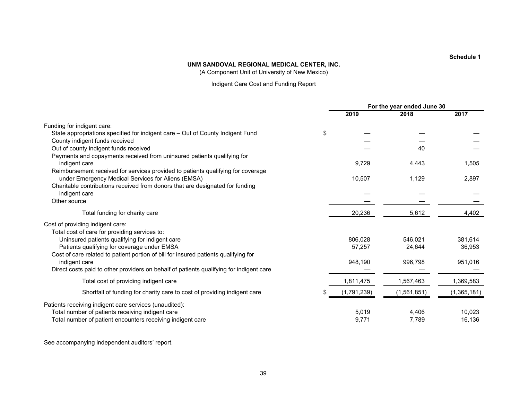(A Component Unit of University of New Mexico)

Indigent Care Cost and Funding Report

|                                                                                                                                     | For the year ended June 30 |             |             |             |
|-------------------------------------------------------------------------------------------------------------------------------------|----------------------------|-------------|-------------|-------------|
|                                                                                                                                     |                            | 2019        | 2018        | 2017        |
| Funding for indigent care:                                                                                                          |                            |             |             |             |
| State appropriations specified for indigent care - Out of County Indigent Fund                                                      | \$                         |             |             |             |
| County indigent funds received                                                                                                      |                            |             |             |             |
| Out of county indigent funds received                                                                                               |                            |             | 40          |             |
| Payments and copayments received from uninsured patients qualifying for                                                             |                            |             |             |             |
| indigent care                                                                                                                       |                            | 9,729       | 4,443       | 1,505       |
| Reimbursement received for services provided to patients qualifying for coverage                                                    |                            |             |             |             |
| under Emergency Medical Services for Aliens (EMSA)<br>Charitable contributions received from donors that are designated for funding |                            | 10,507      | 1,129       | 2,897       |
| indigent care                                                                                                                       |                            |             |             |             |
| Other source                                                                                                                        |                            |             |             |             |
|                                                                                                                                     |                            |             |             |             |
| Total funding for charity care                                                                                                      |                            | 20,236      | 5,612       | 4,402       |
| Cost of providing indigent care:                                                                                                    |                            |             |             |             |
| Total cost of care for providing services to:                                                                                       |                            |             |             |             |
| Uninsured patients qualifying for indigent care                                                                                     |                            | 806,028     | 546,021     | 381,614     |
| Patients qualifying for coverage under EMSA                                                                                         |                            | 57,257      | 24,644      | 36,953      |
| Cost of care related to patient portion of bill for insured patients qualifying for                                                 |                            |             |             |             |
| indigent care                                                                                                                       |                            | 948,190     | 996,798     | 951,016     |
| Direct costs paid to other providers on behalf of patients qualifying for indigent care                                             |                            |             |             |             |
| Total cost of providing indigent care                                                                                               |                            | 1,811,475   | 1,567,463   | 1,369,583   |
| Shortfall of funding for charity care to cost of providing indigent care                                                            | S                          | (1,791,239) | (1,561,851) | (1,365,181) |
| Patients receiving indigent care services (unaudited):                                                                              |                            |             |             |             |
| Total number of patients receiving indigent care                                                                                    |                            | 5,019       | 4,406       | 10,023      |
| Total number of patient encounters receiving indigent care                                                                          |                            | 9,771       | 7,789       | 16,136      |

See accompanying independent auditors' report.

**Schedule 1**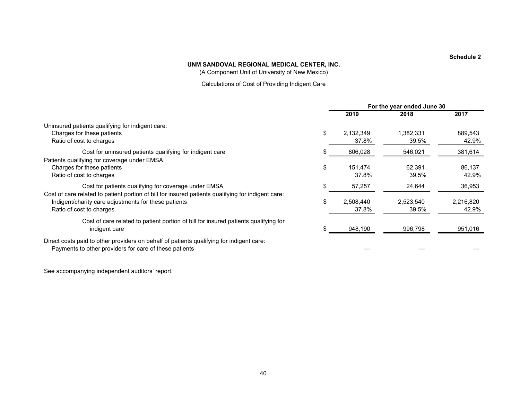(A Component Unit of University of New Mexico)

Calculations of Cost of Providing Indigent Care

|                                                                                                                                                                                        | For the year ended June 30 |                    |                    |
|----------------------------------------------------------------------------------------------------------------------------------------------------------------------------------------|----------------------------|--------------------|--------------------|
|                                                                                                                                                                                        | 2019                       | 2018               | 2017               |
| Uninsured patients qualifying for indigent care:<br>Charges for these patients<br>Ratio of cost to charges                                                                             | \$<br>2,132,349<br>37.8%   | 1,382,331<br>39.5% | 889,543<br>42.9%   |
| Cost for uninsured patients qualifying for indigent care                                                                                                                               | 806,028                    | 546,021            | 381,614            |
| Patients qualifying for coverage under EMSA:<br>Charges for these patients<br>Ratio of cost to charges                                                                                 | \$<br>151.474<br>37.8%     | 62.391<br>39.5%    | 86,137<br>42.9%    |
| Cost for patients qualifying for coverage under EMSA                                                                                                                                   | 57,257                     | 24,644             | 36,953             |
| Cost of care related to patient portion of bill for insured patients qualifying for indigent care:<br>Indigent/charity care adjustments for these patients<br>Ratio of cost to charges | \$<br>2,508,440<br>37.8%   | 2,523,540<br>39.5% | 2,216,820<br>42.9% |
| Cost of care related to patient portion of bill for insured patients qualifying for<br>indigent care                                                                                   | 948,190                    | 996,798            | 951,016            |
| Direct costs paid to other providers on behalf of patients qualifying for indigent care:<br>Payments to other providers for care of these patients                                     |                            |                    |                    |

See accompanying independent auditors' report.

#### **Schedule 2**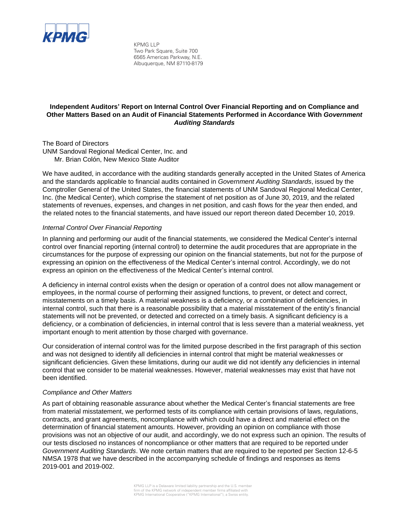

KPMG LLP Two Park Square, Suite 700 6565 Americas Parkway, N.E. Albuquerque, NM 87110-8179

### **Independent Auditors' Report on Internal Control Over Financial Reporting and on Compliance and Other Matters Based on an Audit of Financial Statements Performed in Accordance With** *Government Auditing Standards*

The Board of Directors UNM Sandoval Regional Medical Center, Inc. and Mr. Brian Colón, New Mexico State Auditor

We have audited, in accordance with the auditing standards generally accepted in the United States of America and the standards applicable to financial audits contained in *Government Auditing Standards*, issued by the Comptroller General of the United States, the financial statements of UNM Sandoval Regional Medical Center, Inc. (the Medical Center), which comprise the statement of net position as of June 30, 2019, and the related statements of revenues, expenses, and changes in net position, and cash flows for the year then ended, and the related notes to the financial statements, and have issued our report thereon dated December 10, 2019.

#### *Internal Control Over Financial Reporting*

In planning and performing our audit of the financial statements, we considered the Medical Center's internal control over financial reporting (internal control) to determine the audit procedures that are appropriate in the circumstances for the purpose of expressing our opinion on the financial statements, but not for the purpose of expressing an opinion on the effectiveness of the Medical Center's internal control. Accordingly, we do not express an opinion on the effectiveness of the Medical Center's internal control.

A deficiency in internal control exists when the design or operation of a control does not allow management or employees, in the normal course of performing their assigned functions, to prevent, or detect and correct, misstatements on a timely basis. A material weakness is a deficiency, or a combination of deficiencies, in internal control, such that there is a reasonable possibility that a material misstatement of the entity's financial statements will not be prevented, or detected and corrected on a timely basis. A significant deficiency is a deficiency, or a combination of deficiencies, in internal control that is less severe than a material weakness, yet important enough to merit attention by those charged with governance.

Our consideration of internal control was for the limited purpose described in the first paragraph of this section and was not designed to identify all deficiencies in internal control that might be material weaknesses or significant deficiencies. Given these limitations, during our audit we did not identify any deficiencies in internal control that we consider to be material weaknesses. However, material weaknesses may exist that have not been identified.

#### *Compliance and Other Matters*

As part of obtaining reasonable assurance about whether the Medical Center's financial statements are free from material misstatement, we performed tests of its compliance with certain provisions of laws, regulations, contracts, and grant agreements, noncompliance with which could have a direct and material effect on the determination of financial statement amounts. However, providing an opinion on compliance with those provisions was not an objective of our audit, and accordingly, we do not express such an opinion. The results of our tests disclosed no instances of noncompliance or other matters that are required to be reported under *Government Auditing Standards*. We note certain matters that are required to be reported per Section 12-6-5 NMSA 1978 that we have described in the accompanying schedule of findings and responses as items 2019-001 and 2019-002.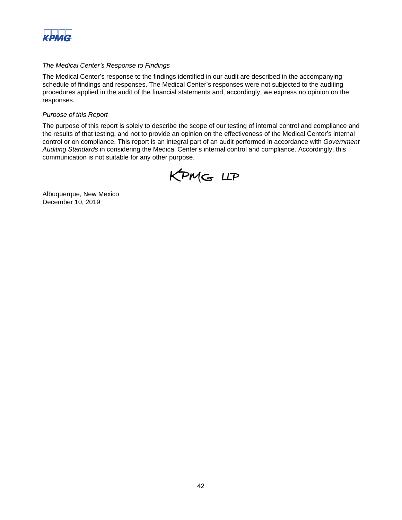

#### *The Medical Center's Response to Findings*

The Medical Center's response to the findings identified in our audit are described in the accompanying schedule of findings and responses. The Medical Center's responses were not subjected to the auditing procedures applied in the audit of the financial statements and, accordingly, we express no opinion on the responses.

#### *Purpose of this Report*

The purpose of this report is solely to describe the scope of our testing of internal control and compliance and the results of that testing, and not to provide an opinion on the effectiveness of the Medical Center's internal control or on compliance. This report is an integral part of an audit performed in accordance with *Government Auditing Standards* in considering the Medical Center's internal control and compliance. Accordingly, this communication is not suitable for any other purpose.



Albuquerque, New Mexico December 10, 2019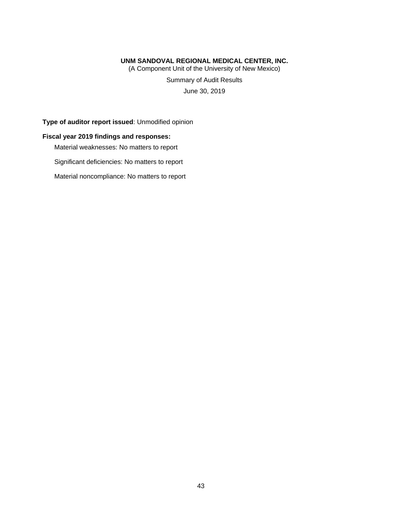(A Component Unit of the University of New Mexico)

Summary of Audit Results

June 30, 2019

**Type of auditor report issued**: Unmodified opinion

#### **Fiscal year 2019 findings and responses:**

Material weaknesses: No matters to report

Significant deficiencies: No matters to report

Material noncompliance: No matters to report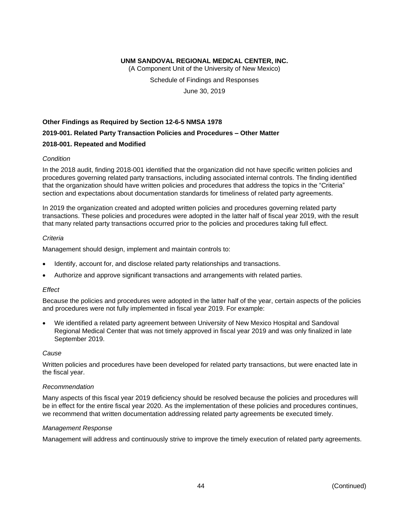(A Component Unit of the University of New Mexico)

Schedule of Findings and Responses

June 30, 2019

# **Other Findings as Required by Section 12-6-5 NMSA 1978 2019-001. Related Party Transaction Policies and Procedures – Other Matter 2018-001. Repeated and Modified**

#### *Condition*

In the 2018 audit, finding 2018-001 identified that the organization did not have specific written policies and procedures governing related party transactions, including associated internal controls. The finding identified that the organization should have written policies and procedures that address the topics in the "Criteria" section and expectations about documentation standards for timeliness of related party agreements.

In 2019 the organization created and adopted written policies and procedures governing related party transactions. These policies and procedures were adopted in the latter half of fiscal year 2019, with the result that many related party transactions occurred prior to the policies and procedures taking full effect.

#### *Criteria*

Management should design, implement and maintain controls to:

- Identify, account for, and disclose related party relationships and transactions.
- Authorize and approve significant transactions and arrangements with related parties.

#### *Effect*

Because the policies and procedures were adopted in the latter half of the year, certain aspects of the policies and procedures were not fully implemented in fiscal year 2019. For example:

 We identified a related party agreement between University of New Mexico Hospital and Sandoval Regional Medical Center that was not timely approved in fiscal year 2019 and was only finalized in late September 2019.

#### *Cause*

Written policies and procedures have been developed for related party transactions, but were enacted late in the fiscal year.

#### *Recommendation*

Many aspects of this fiscal year 2019 deficiency should be resolved because the policies and procedures will be in effect for the entire fiscal year 2020. As the implementation of these policies and procedures continues, we recommend that written documentation addressing related party agreements be executed timely.

#### *Management Response*

Management will address and continuously strive to improve the timely execution of related party agreements.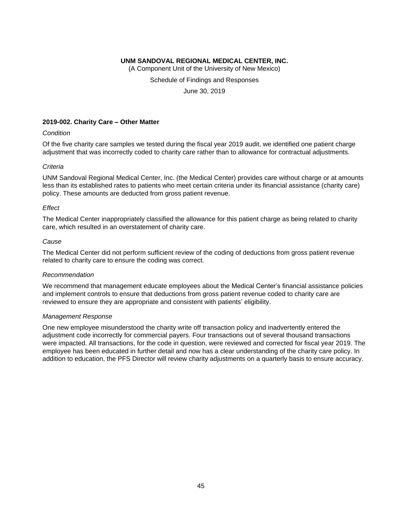(A Component Unit of the University of New Mexico)

Schedule of Findings and Responses

June 30, 2019

#### **2019-002. Charity Care – Other Matter**

#### *Condition*

Of the five charity care samples we tested during the fiscal year 2019 audit, we identified one patient charge adjustment that was incorrectly coded to charity care rather than to allowance for contractual adjustments.

#### *Criteria*

UNM Sandoval Regional Medical Center, Inc. (the Medical Center) provides care without charge or at amounts less than its established rates to patients who meet certain criteria under its financial assistance (charity care) policy. These amounts are deducted from gross patient revenue.

#### *Effect*

The Medical Center inappropriately classified the allowance for this patient charge as being related to charity care, which resulted in an overstatement of charity care.

#### *Cause*

The Medical Center did not perform sufficient review of the coding of deductions from gross patient revenue related to charity care to ensure the coding was correct.

#### *Recommendation*

We recommend that management educate employees about the Medical Center's financial assistance policies and implement controls to ensure that deductions from gross patient revenue coded to charity care are reviewed to ensure they are appropriate and consistent with patients' eligibility.

#### *Management Response*

One new employee misunderstood the charity write off transaction policy and inadvertently entered the adjustment code incorrectly for commercial payers. Four transactions out of several thousand transactions were impacted. All transactions, for the code in question, were reviewed and corrected for fiscal year 2019. The employee has been educated in further detail and now has a clear understanding of the charity care policy. In addition to education, the PFS Director will review charity adjustments on a quarterly basis to ensure accuracy.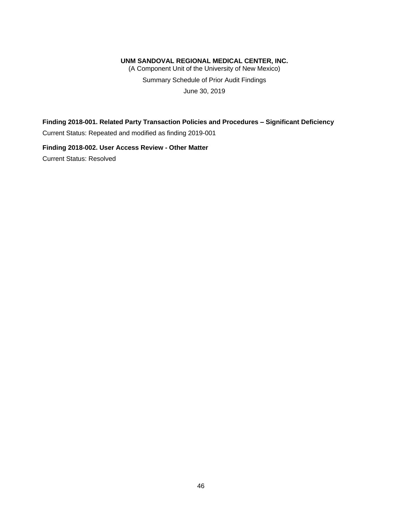(A Component Unit of the University of New Mexico)

Summary Schedule of Prior Audit Findings

June 30, 2019

**Finding 2018-001. Related Party Transaction Policies and Procedures – Significant Deficiency**

Current Status: Repeated and modified as finding 2019-001

**Finding 2018-002. User Access Review - Other Matter**

Current Status: Resolved